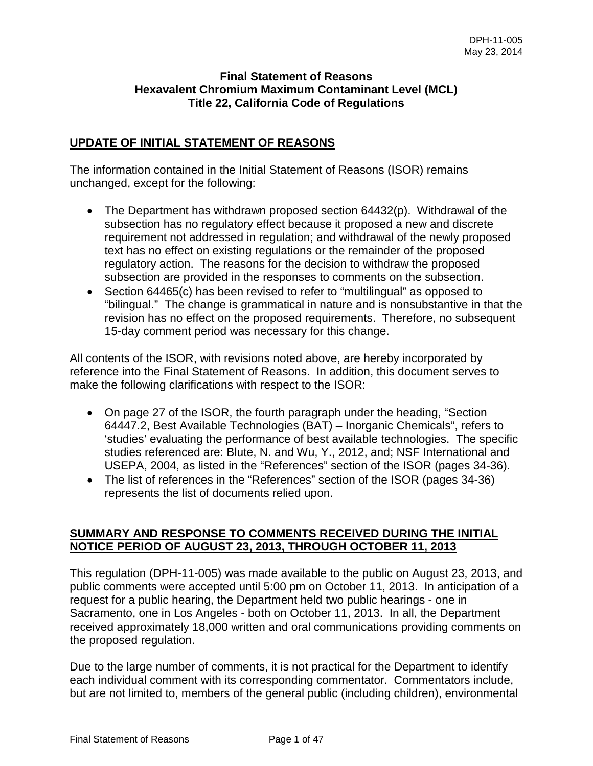### **Final Statement of Reasons Hexavalent Chromium Maximum Contaminant Level (MCL) Title 22, California Code of Regulations**

## **UPDATE OF INITIAL STATEMENT OF REASONS**

The information contained in the Initial Statement of Reasons (ISOR) remains unchanged, except for the following:

- The Department has withdrawn proposed section 64432(p). Withdrawal of the subsection has no regulatory effect because it proposed a new and discrete requirement not addressed in regulation; and withdrawal of the newly proposed text has no effect on existing regulations or the remainder of the proposed regulatory action. The reasons for the decision to withdraw the proposed subsection are provided in the responses to comments on the subsection.
- Section 64465(c) has been revised to refer to "multilingual" as opposed to "bilingual." The change is grammatical in nature and is nonsubstantive in that the revision has no effect on the proposed requirements. Therefore, no subsequent 15-day comment period was necessary for this change.

All contents of the ISOR, with revisions noted above, are hereby incorporated by reference into the Final Statement of Reasons. In addition, this document serves to make the following clarifications with respect to the ISOR:

- On page 27 of the ISOR, the fourth paragraph under the heading, "Section 64447.2, Best Available Technologies (BAT) – Inorganic Chemicals", refers to 'studies' evaluating the performance of best available technologies. The specific studies referenced are: Blute, N. and Wu, Y., 2012, and; NSF International and USEPA, 2004, as listed in the "References" section of the ISOR (pages 34-36).
- The list of references in the "References" section of the ISOR (pages 34-36) represents the list of documents relied upon.

## **SUMMARY AND RESPONSE TO COMMENTS RECEIVED DURING THE INITIAL NOTICE PERIOD OF AUGUST 23, 2013, THROUGH OCTOBER 11, 2013**

This regulation (DPH-11-005) was made available to the public on August 23, 2013, and public comments were accepted until 5:00 pm on October 11, 2013. In anticipation of a request for a public hearing, the Department held two public hearings - one in Sacramento, one in Los Angeles - both on October 11, 2013. In all, the Department received approximately 18,000 written and oral communications providing comments on the proposed regulation.

Due to the large number of comments, it is not practical for the Department to identify each individual comment with its corresponding commentator. Commentators include, but are not limited to, members of the general public (including children), environmental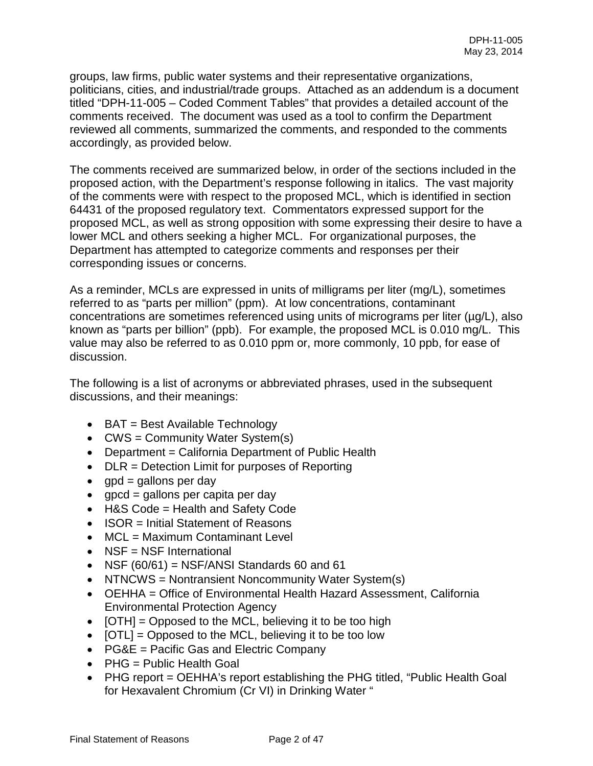groups, law firms, public water systems and their representative organizations, politicians, cities, and industrial/trade groups. Attached as an addendum is a document titled "DPH-11-005 – Coded Comment Tables" that provides a detailed account of the comments received. The document was used as a tool to confirm the Department reviewed all comments, summarized the comments, and responded to the comments accordingly, as provided below.

The comments received are summarized below, in order of the sections included in the proposed action, with the Department's response following in italics. The vast majority of the comments were with respect to the proposed MCL, which is identified in section 64431 of the proposed regulatory text. Commentators expressed support for the proposed MCL, as well as strong opposition with some expressing their desire to have a lower MCL and others seeking a higher MCL. For organizational purposes, the Department has attempted to categorize comments and responses per their corresponding issues or concerns.

As a reminder, MCLs are expressed in units of milligrams per liter (mg/L), sometimes referred to as "parts per million" (ppm). At low concentrations, contaminant concentrations are sometimes referenced using units of micrograms per liter (µg/L), also known as "parts per billion" (ppb). For example, the proposed MCL is 0.010 mg/L. This value may also be referred to as 0.010 ppm or, more commonly, 10 ppb, for ease of discussion.

The following is a list of acronyms or abbreviated phrases, used in the subsequent discussions, and their meanings:

- BAT = Best Available Technology
- CWS = Community Water System(s)
- Department = California Department of Public Health
- $DLR =$  Detection Limit for purposes of Reporting
- $qpd = gallons per day$
- $\bullet$  gpcd = gallons per capita per day
- H&S Code = Health and Safety Code
- ISOR = Initial Statement of Reasons
- MCL = Maximum Contaminant Level
- NSF = NSF International
- NSF  $(60/61)$  = NSF/ANSI Standards 60 and 61
- NTNCWS = Nontransient Noncommunity Water System(s)
- OEHHA = Office of Environmental Health Hazard Assessment, California Environmental Protection Agency
- [OTH] = Opposed to the MCL, believing it to be too high
- **[OTL]** = Opposed to the MCL, believing it to be too low
- PG&E = Pacific Gas and Electric Company
- PHG = Public Health Goal
- PHG report = OEHHA's report establishing the PHG titled, "Public Health Goal for Hexavalent Chromium (Cr VI) in Drinking Water "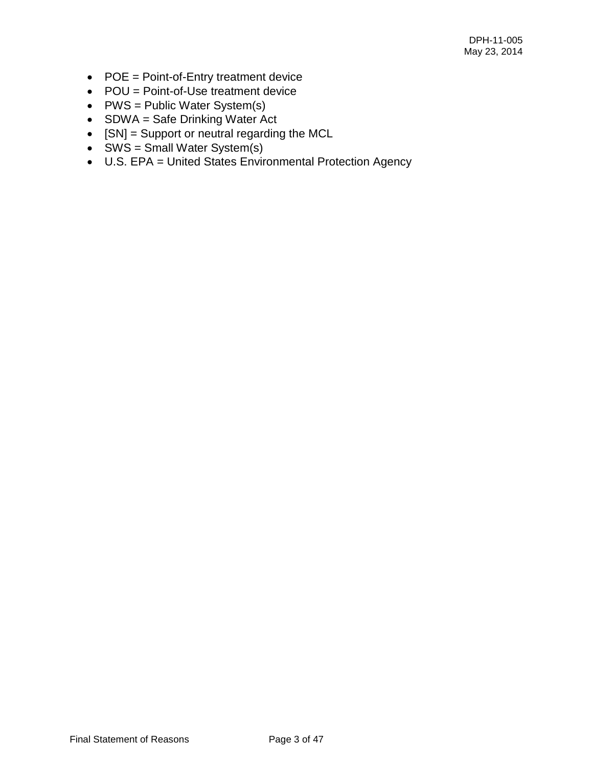- POE = Point-of-Entry treatment device
- POU = Point-of-Use treatment device
- PWS = Public Water System(s)
- SDWA = Safe Drinking Water Act
- [SN] = Support or neutral regarding the MCL
- SWS = Small Water System(s)
- U.S. EPA = United States Environmental Protection Agency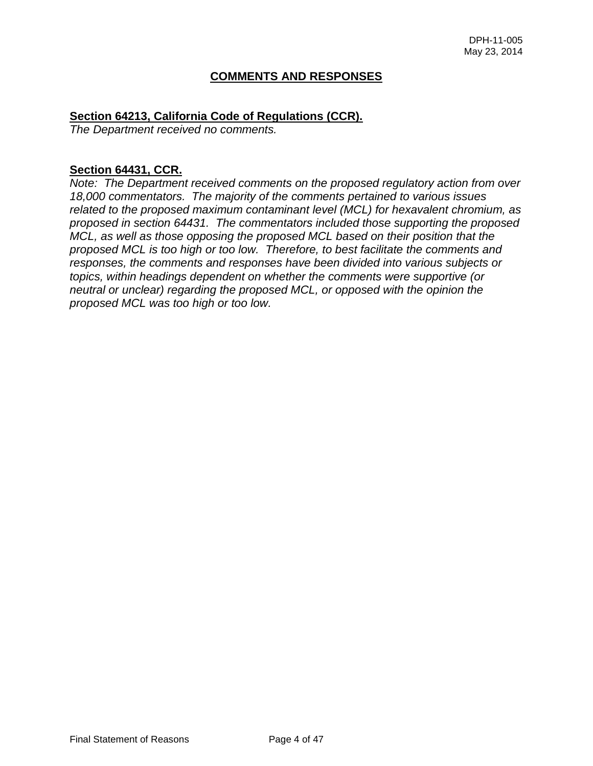### **COMMENTS AND RESPONSES**

#### **Section 64213, California Code of Regulations (CCR).**

*The Department received no comments.* 

#### **Section 64431, CCR.**

*Note: The Department received comments on the proposed regulatory action from over 18,000 commentators. The majority of the comments pertained to various issues related to the proposed maximum contaminant level (MCL) for hexavalent chromium, as proposed in section 64431. The commentators included those supporting the proposed MCL, as well as those opposing the proposed MCL based on their position that the proposed MCL is too high or too low. Therefore, to best facilitate the comments and responses, the comments and responses have been divided into various subjects or topics, within headings dependent on whether the comments were supportive (or neutral or unclear) regarding the proposed MCL, or opposed with the opinion the proposed MCL was too high or too low.*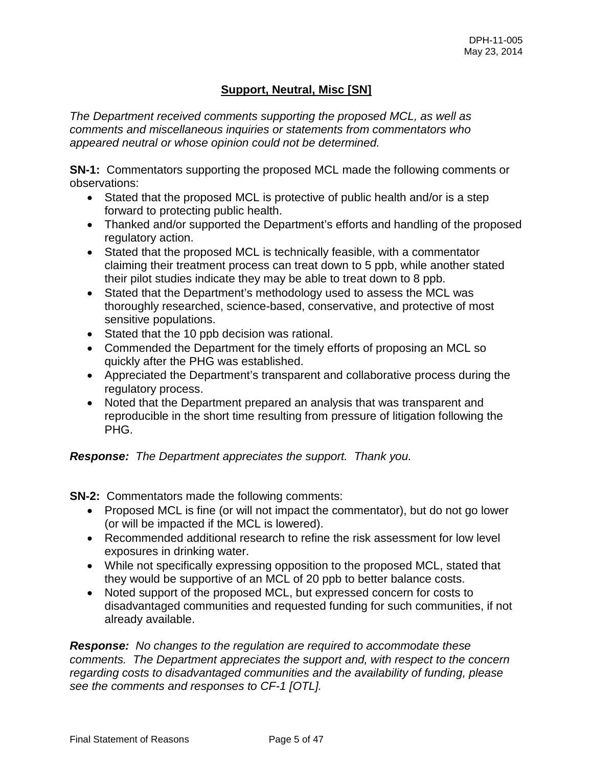# **Support, Neutral, Misc [SN]**

*The Department received comments supporting the proposed MCL, as well as comments and miscellaneous inquiries or statements from commentators who appeared neutral or whose opinion could not be determined.* 

**SN-1:** Commentators supporting the proposed MCL made the following comments or observations:

- Stated that the proposed MCL is protective of public health and/or is a step forward to protecting public health.
- Thanked and/or supported the Department's efforts and handling of the proposed regulatory action.
- Stated that the proposed MCL is technically feasible, with a commentator claiming their treatment process can treat down to 5 ppb, while another stated their pilot studies indicate they may be able to treat down to 8 ppb.
- Stated that the Department's methodology used to assess the MCL was thoroughly researched, science-based, conservative, and protective of most sensitive populations.
- Stated that the 10 ppb decision was rational.
- Commended the Department for the timely efforts of proposing an MCL so quickly after the PHG was established.
- Appreciated the Department's transparent and collaborative process during the regulatory process.
- Noted that the Department prepared an analysis that was transparent and reproducible in the short time resulting from pressure of litigation following the PHG.

## *Response: The Department appreciates the support. Thank you.*

**SN-2:** Commentators made the following comments:

- Proposed MCL is fine (or will not impact the commentator), but do not go lower (or will be impacted if the MCL is lowered).
- Recommended additional research to refine the risk assessment for low level exposures in drinking water.
- While not specifically expressing opposition to the proposed MCL, stated that they would be supportive of an MCL of 20 ppb to better balance costs.
- Noted support of the proposed MCL, but expressed concern for costs to disadvantaged communities and requested funding for such communities, if not already available.

*Response: No changes to the regulation are required to accommodate these comments. The Department appreciates the support and, with respect to the concern regarding costs to disadvantaged communities and the availability of funding, please see the comments and responses to CF-1 [OTL].*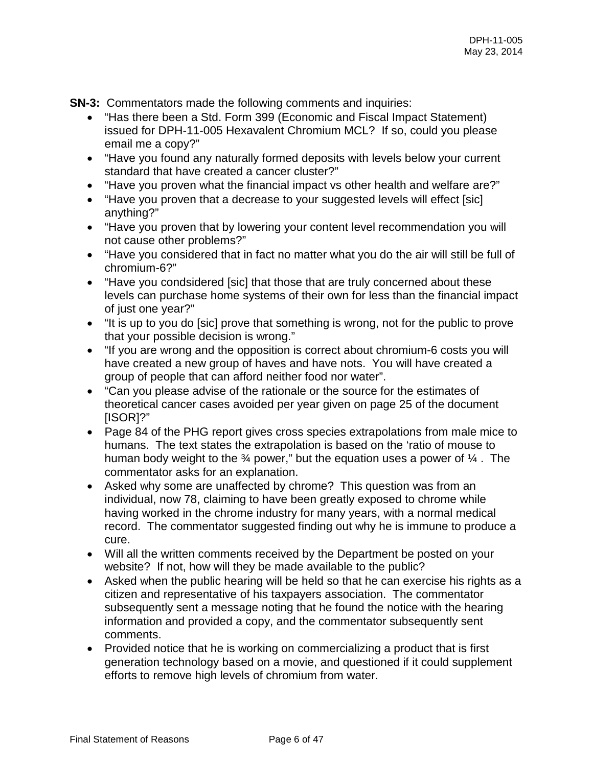**SN-3:** Commentators made the following comments and inquiries:

- "Has there been a Std. Form 399 (Economic and Fiscal Impact Statement) issued for DPH-11-005 Hexavalent Chromium MCL? If so, could you please email me a copy?"
- "Have you found any naturally formed deposits with levels below your current standard that have created a cancer cluster?"
- "Have you proven what the financial impact vs other health and welfare are?"
- "Have you proven that a decrease to your suggested levels will effect [sic] anything?"
- "Have you proven that by lowering your content level recommendation you will not cause other problems?"
- "Have you considered that in fact no matter what you do the air will still be full of chromium-6?"
- "Have you condsidered [sic] that those that are truly concerned about these levels can purchase home systems of their own for less than the financial impact of just one year?"
- "It is up to you do [sic] prove that something is wrong, not for the public to prove that your possible decision is wrong."
- "If you are wrong and the opposition is correct about chromium-6 costs you will have created a new group of haves and have nots. You will have created a group of people that can afford neither food nor water".
- "Can you please advise of the rationale or the source for the estimates of theoretical cancer cases avoided per year given on page 25 of the document [ISOR]?"
- Page 84 of the PHG report gives cross species extrapolations from male mice to humans. The text states the extrapolation is based on the 'ratio of mouse to human body weight to the  $\frac{3}{4}$  power," but the equation uses a power of  $\frac{1}{4}$ . The commentator asks for an explanation.
- Asked why some are unaffected by chrome? This question was from an individual, now 78, claiming to have been greatly exposed to chrome while having worked in the chrome industry for many years, with a normal medical record. The commentator suggested finding out why he is immune to produce a cure.
- Will all the written comments received by the Department be posted on your website? If not, how will they be made available to the public?
- Asked when the public hearing will be held so that he can exercise his rights as a citizen and representative of his taxpayers association. The commentator subsequently sent a message noting that he found the notice with the hearing information and provided a copy, and the commentator subsequently sent comments.
- Provided notice that he is working on commercializing a product that is first generation technology based on a movie, and questioned if it could supplement efforts to remove high levels of chromium from water.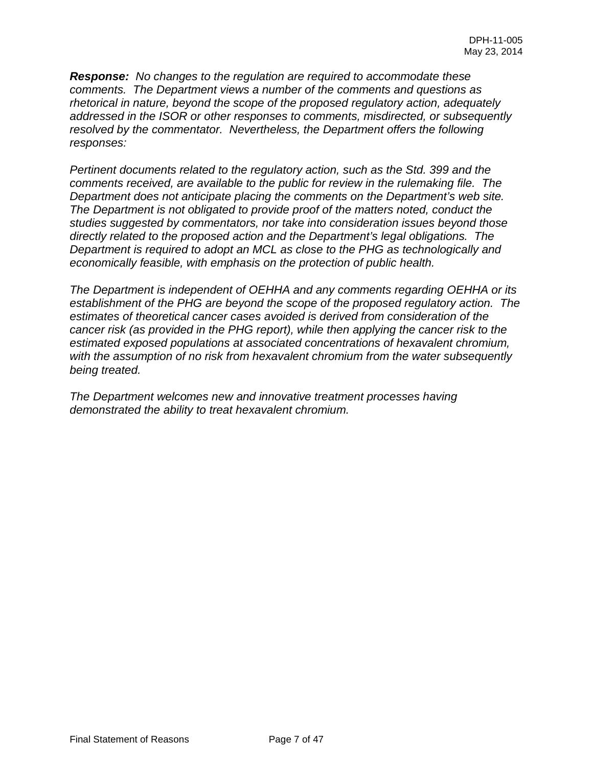*Response: No changes to the regulation are required to accommodate these comments. The Department views a number of the comments and questions as rhetorical in nature, beyond the scope of the proposed regulatory action, adequately addressed in the ISOR or other responses to comments, misdirected, or subsequently resolved by the commentator. Nevertheless, the Department offers the following responses:* 

*Pertinent documents related to the regulatory action, such as the Std. 399 and the comments received, are available to the public for review in the rulemaking file. The Department does not anticipate placing the comments on the Department's web site. The Department is not obligated to provide proof of the matters noted, conduct the studies suggested by commentators, nor take into consideration issues beyond those directly related to the proposed action and the Department's legal obligations. The Department is required to adopt an MCL as close to the PHG as technologically and economically feasible, with emphasis on the protection of public health.* 

*The Department is independent of OEHHA and any comments regarding OEHHA or its establishment of the PHG are beyond the scope of the proposed regulatory action. The estimates of theoretical cancer cases avoided is derived from consideration of the cancer risk (as provided in the PHG report), while then applying the cancer risk to the estimated exposed populations at associated concentrations of hexavalent chromium, with the assumption of no risk from hexavalent chromium from the water subsequently being treated.* 

*The Department welcomes new and innovative treatment processes having demonstrated the ability to treat hexavalent chromium.*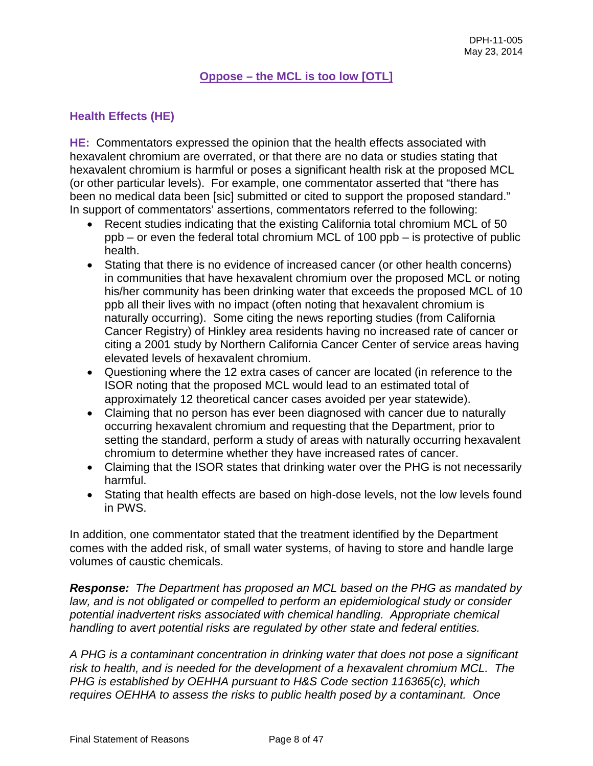### **Oppose – the MCL is too low [OTL]**

## **Health Effects (HE)**

**HE:** Commentators expressed the opinion that the health effects associated with hexavalent chromium are overrated, or that there are no data or studies stating that hexavalent chromium is harmful or poses a significant health risk at the proposed MCL (or other particular levels). For example, one commentator asserted that "there has been no medical data been [sic] submitted or cited to support the proposed standard." In support of commentators' assertions, commentators referred to the following:

- Recent studies indicating that the existing California total chromium MCL of 50 ppb – or even the federal total chromium MCL of 100 ppb – is protective of public health.
- Stating that there is no evidence of increased cancer (or other health concerns) in communities that have hexavalent chromium over the proposed MCL or noting his/her community has been drinking water that exceeds the proposed MCL of 10 ppb all their lives with no impact (often noting that hexavalent chromium is naturally occurring). Some citing the news reporting studies (from California Cancer Registry) of Hinkley area residents having no increased rate of cancer or citing a 2001 study by Northern California Cancer Center of service areas having elevated levels of hexavalent chromium.
- Questioning where the 12 extra cases of cancer are located (in reference to the ISOR noting that the proposed MCL would lead to an estimated total of approximately 12 theoretical cancer cases avoided per year statewide).
- Claiming that no person has ever been diagnosed with cancer due to naturally occurring hexavalent chromium and requesting that the Department, prior to setting the standard, perform a study of areas with naturally occurring hexavalent chromium to determine whether they have increased rates of cancer.
- Claiming that the ISOR states that drinking water over the PHG is not necessarily harmful.
- Stating that health effects are based on high-dose levels, not the low levels found in PWS.

In addition, one commentator stated that the treatment identified by the Department comes with the added risk, of small water systems, of having to store and handle large volumes of caustic chemicals.

*Response: The Department has proposed an MCL based on the PHG as mandated by law, and is not obligated or compelled to perform an epidemiological study or consider potential inadvertent risks associated with chemical handling. Appropriate chemical handling to avert potential risks are regulated by other state and federal entities.* 

*A PHG is a contaminant concentration in drinking water that does not pose a significant risk to health, and is needed for the development of a hexavalent chromium MCL. The PHG is established by OEHHA pursuant to H&S Code section 116365(c), which requires OEHHA to assess the risks to public health posed by a contaminant. Once*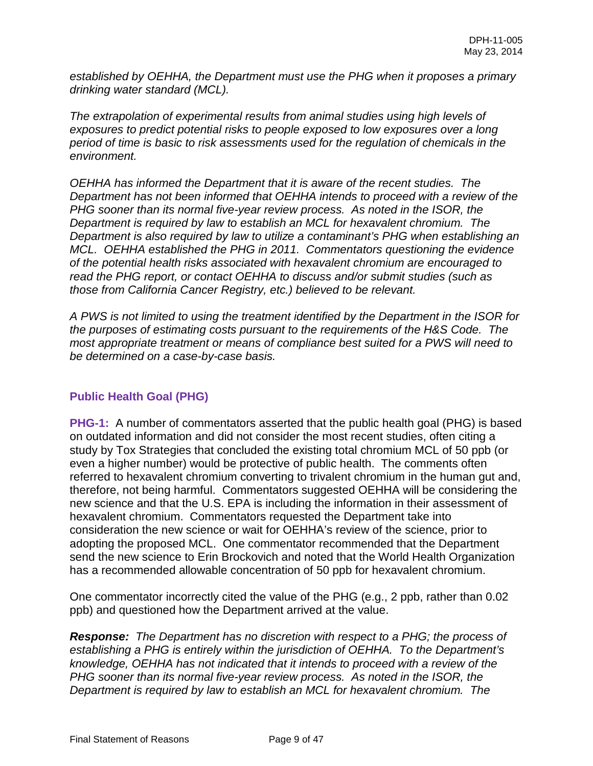*established by OEHHA, the Department must use the PHG when it proposes a primary drinking water standard (MCL).* 

*The extrapolation of experimental results from animal studies using high levels of exposures to predict potential risks to people exposed to low exposures over a long period of time is basic to risk assessments used for the regulation of chemicals in the environment.* 

*OEHHA has informed the Department that it is aware of the recent studies. The Department has not been informed that OEHHA intends to proceed with a review of the PHG sooner than its normal five-year review process. As noted in the ISOR, the Department is required by law to establish an MCL for hexavalent chromium. The Department is also required by law to utilize a contaminant's PHG when establishing an MCL. OEHHA established the PHG in 2011. Commentators questioning the evidence of the potential health risks associated with hexavalent chromium are encouraged to read the PHG report, or contact OEHHA to discuss and/or submit studies (such as those from California Cancer Registry, etc.) believed to be relevant.* 

*A PWS is not limited to using the treatment identified by the Department in the ISOR for the purposes of estimating costs pursuant to the requirements of the H&S Code. The most appropriate treatment or means of compliance best suited for a PWS will need to be determined on a case-by-case basis.* 

## **Public Health Goal (PHG)**

**PHG-1:** A number of commentators asserted that the public health goal (PHG) is based on outdated information and did not consider the most recent studies, often citing a study by Tox Strategies that concluded the existing total chromium MCL of 50 ppb (or even a higher number) would be protective of public health. The comments often referred to hexavalent chromium converting to trivalent chromium in the human gut and, therefore, not being harmful. Commentators suggested OEHHA will be considering the new science and that the U.S. EPA is including the information in their assessment of hexavalent chromium. Commentators requested the Department take into consideration the new science or wait for OEHHA's review of the science, prior to adopting the proposed MCL. One commentator recommended that the Department send the new science to Erin Brockovich and noted that the World Health Organization has a recommended allowable concentration of 50 ppb for hexavalent chromium.

One commentator incorrectly cited the value of the PHG (e.g., 2 ppb, rather than 0.02 ppb) and questioned how the Department arrived at the value.

*Response: The Department has no discretion with respect to a PHG; the process of establishing a PHG is entirely within the jurisdiction of OEHHA. To the Department's knowledge, OEHHA has not indicated that it intends to proceed with a review of the PHG sooner than its normal five-year review process. As noted in the ISOR, the Department is required by law to establish an MCL for hexavalent chromium. The*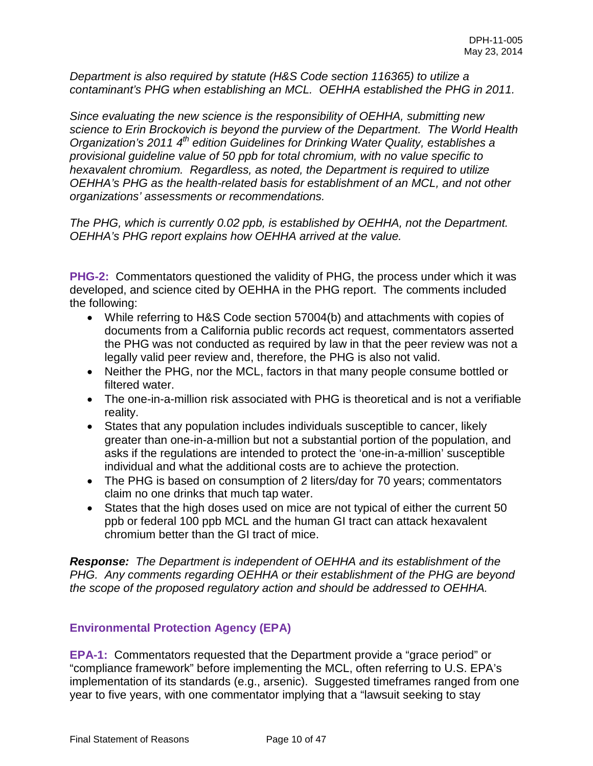*Department is also required by statute (H&S Code section 116365) to utilize a contaminant's PHG when establishing an MCL. OEHHA established the PHG in 2011.* 

*Since evaluating the new science is the responsibility of OEHHA, submitting new science to Erin Brockovich is beyond the purview of the Department. The World Health Organization's 2011 4th edition Guidelines for Drinking Water Quality, establishes a provisional guideline value of 50 ppb for total chromium, with no value specific to hexavalent chromium. Regardless, as noted, the Department is required to utilize OEHHA's PHG as the health-related basis for establishment of an MCL, and not other organizations' assessments or recommendations.* 

*The PHG, which is currently 0.02 ppb, is established by OEHHA, not the Department. OEHHA's PHG report explains how OEHHA arrived at the value.* 

**PHG-2:** Commentators questioned the validity of PHG, the process under which it was developed, and science cited by OEHHA in the PHG report. The comments included the following:

- While referring to H&S Code section 57004(b) and attachments with copies of documents from a California public records act request, commentators asserted the PHG was not conducted as required by law in that the peer review was not a legally valid peer review and, therefore, the PHG is also not valid.
- Neither the PHG, nor the MCL, factors in that many people consume bottled or filtered water.
- The one-in-a-million risk associated with PHG is theoretical and is not a verifiable reality.
- States that any population includes individuals susceptible to cancer, likely greater than one-in-a-million but not a substantial portion of the population, and asks if the regulations are intended to protect the 'one-in-a-million' susceptible individual and what the additional costs are to achieve the protection.
- The PHG is based on consumption of 2 liters/day for 70 years; commentators claim no one drinks that much tap water.
- States that the high doses used on mice are not typical of either the current 50 ppb or federal 100 ppb MCL and the human GI tract can attack hexavalent chromium better than the GI tract of mice.

*Response: The Department is independent of OEHHA and its establishment of the PHG. Any comments regarding OEHHA or their establishment of the PHG are beyond the scope of the proposed regulatory action and should be addressed to OEHHA.* 

## **Environmental Protection Agency (EPA)**

**EPA-1:** Commentators requested that the Department provide a "grace period" or "compliance framework" before implementing the MCL, often referring to U.S. EPA's implementation of its standards (e.g., arsenic). Suggested timeframes ranged from one year to five years, with one commentator implying that a "lawsuit seeking to stay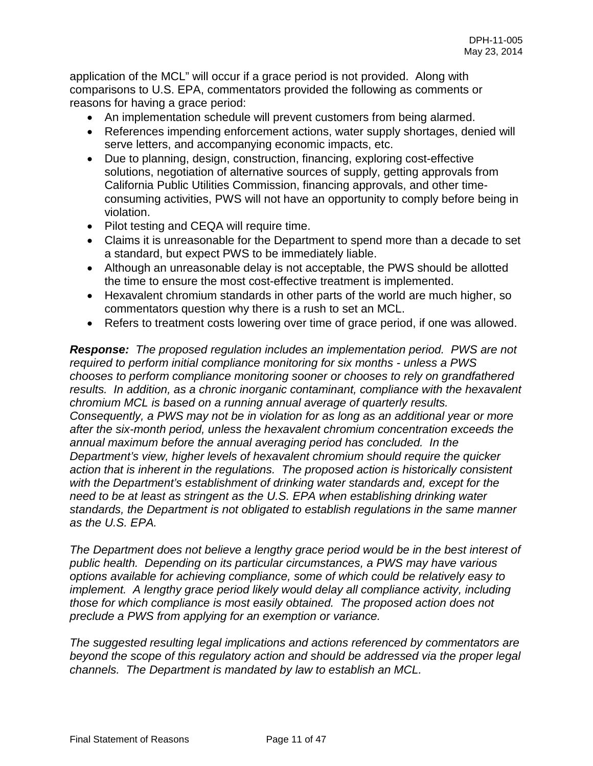application of the MCL" will occur if a grace period is not provided. Along with comparisons to U.S. EPA, commentators provided the following as comments or reasons for having a grace period:

- An implementation schedule will prevent customers from being alarmed.
- References impending enforcement actions, water supply shortages, denied will serve letters, and accompanying economic impacts, etc.
- Due to planning, design, construction, financing, exploring cost-effective solutions, negotiation of alternative sources of supply, getting approvals from California Public Utilities Commission, financing approvals, and other timeconsuming activities, PWS will not have an opportunity to comply before being in violation.
- Pilot testing and CEQA will require time.
- Claims it is unreasonable for the Department to spend more than a decade to set a standard, but expect PWS to be immediately liable.
- Although an unreasonable delay is not acceptable, the PWS should be allotted the time to ensure the most cost-effective treatment is implemented.
- Hexavalent chromium standards in other parts of the world are much higher, so commentators question why there is a rush to set an MCL.
- Refers to treatment costs lowering over time of grace period, if one was allowed.

*Response: The proposed regulation includes an implementation period. PWS are not required to perform initial compliance monitoring for six months - unless a PWS chooses to perform compliance monitoring sooner or chooses to rely on grandfathered results. In addition, as a chronic inorganic contaminant, compliance with the hexavalent chromium MCL is based on a running annual average of quarterly results. Consequently, a PWS may not be in violation for as long as an additional year or more after the six-month period, unless the hexavalent chromium concentration exceeds the annual maximum before the annual averaging period has concluded. In the Department's view, higher levels of hexavalent chromium should require the quicker action that is inherent in the regulations. The proposed action is historically consistent with the Department's establishment of drinking water standards and, except for the need to be at least as stringent as the U.S. EPA when establishing drinking water standards, the Department is not obligated to establish regulations in the same manner as the U.S. EPA.* 

*The Department does not believe a lengthy grace period would be in the best interest of public health. Depending on its particular circumstances, a PWS may have various options available for achieving compliance, some of which could be relatively easy to implement.* A lengthy grace period likely would delay all compliance activity, including *those for which compliance is most easily obtained. The proposed action does not preclude a PWS from applying for an exemption or variance.* 

*The suggested resulting legal implications and actions referenced by commentators are beyond the scope of this regulatory action and should be addressed via the proper legal channels. The Department is mandated by law to establish an MCL.*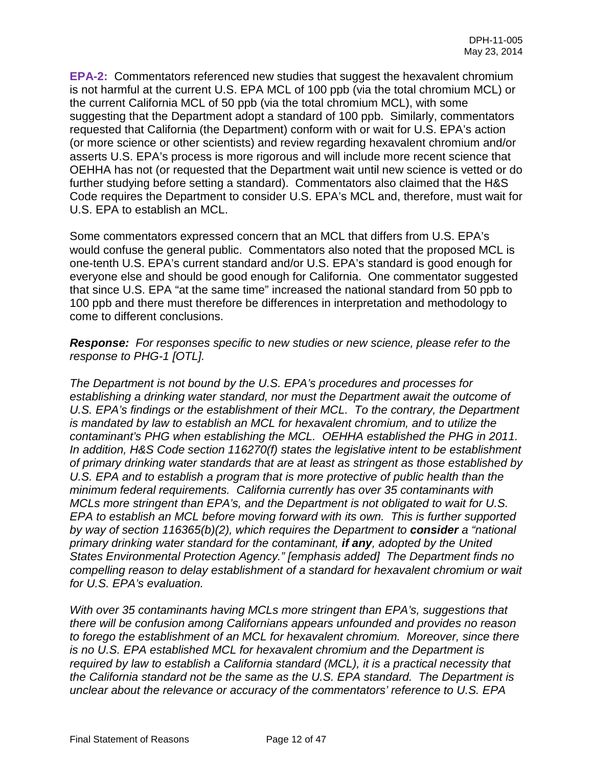**EPA-2:** Commentators referenced new studies that suggest the hexavalent chromium is not harmful at the current U.S. EPA MCL of 100 ppb (via the total chromium MCL) or the current California MCL of 50 ppb (via the total chromium MCL), with some suggesting that the Department adopt a standard of 100 ppb. Similarly, commentators requested that California (the Department) conform with or wait for U.S. EPA's action (or more science or other scientists) and review regarding hexavalent chromium and/or asserts U.S. EPA's process is more rigorous and will include more recent science that OEHHA has not (or requested that the Department wait until new science is vetted or do further studying before setting a standard). Commentators also claimed that the H&S Code requires the Department to consider U.S. EPA's MCL and, therefore, must wait for U.S. EPA to establish an MCL.

Some commentators expressed concern that an MCL that differs from U.S. EPA's would confuse the general public. Commentators also noted that the proposed MCL is one-tenth U.S. EPA's current standard and/or U.S. EPA's standard is good enough for everyone else and should be good enough for California. One commentator suggested that since U.S. EPA "at the same time" increased the national standard from 50 ppb to 100 ppb and there must therefore be differences in interpretation and methodology to come to different conclusions.

*Response: For responses specific to new studies or new science, please refer to the response to PHG-1 [OTL].* 

*The Department is not bound by the U.S. EPA's procedures and processes for establishing a drinking water standard, nor must the Department await the outcome of U.S. EPA's findings or the establishment of their MCL. To the contrary, the Department is mandated by law to establish an MCL for hexavalent chromium, and to utilize the contaminant's PHG when establishing the MCL. OEHHA established the PHG in 2011. In addition, H&S Code section 116270(f) states the legislative intent to be establishment of primary drinking water standards that are at least as stringent as those established by U.S. EPA and to establish a program that is more protective of public health than the minimum federal requirements. California currently has over 35 contaminants with MCLs more stringent than EPA's, and the Department is not obligated to wait for U.S. EPA to establish an MCL before moving forward with its own. This is further supported by way of section 116365(b)(2), which requires the Department to consider a "national primary drinking water standard for the contaminant, if any, adopted by the United States Environmental Protection Agency." [emphasis added] The Department finds no compelling reason to delay establishment of a standard for hexavalent chromium or wait for U.S. EPA's evaluation.* 

*With over 35 contaminants having MCLs more stringent than EPA's, suggestions that there will be confusion among Californians appears unfounded and provides no reason to forego the establishment of an MCL for hexavalent chromium. Moreover, since there is no U.S. EPA established MCL for hexavalent chromium and the Department is required by law to establish a California standard (MCL), it is a practical necessity that the California standard not be the same as the U.S. EPA standard. The Department is unclear about the relevance or accuracy of the commentators' reference to U.S. EPA*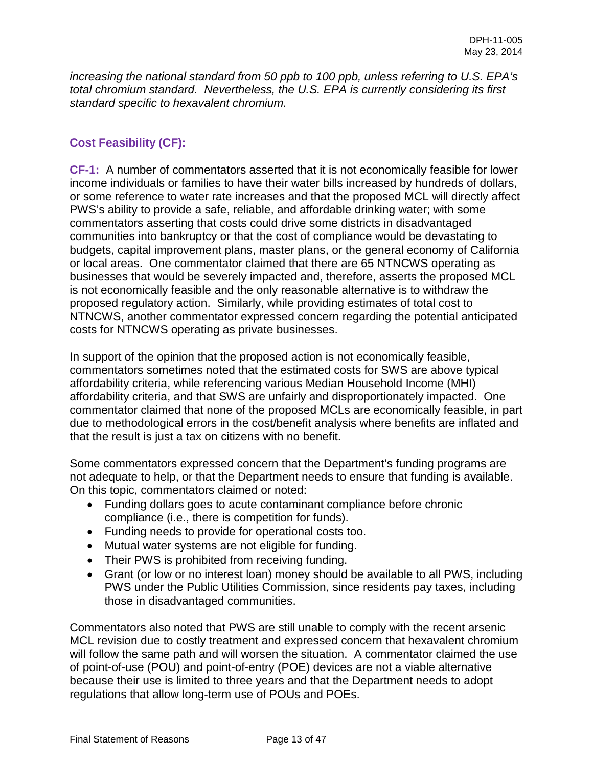*increasing the national standard from 50 ppb to 100 ppb, unless referring to U.S. EPA's total chromium standard. Nevertheless, the U.S. EPA is currently considering its first standard specific to hexavalent chromium.* 

## **Cost Feasibility (CF):**

**CF-1:** A number of commentators asserted that it is not economically feasible for lower income individuals or families to have their water bills increased by hundreds of dollars, or some reference to water rate increases and that the proposed MCL will directly affect PWS's ability to provide a safe, reliable, and affordable drinking water; with some commentators asserting that costs could drive some districts in disadvantaged communities into bankruptcy or that the cost of compliance would be devastating to budgets, capital improvement plans, master plans, or the general economy of California or local areas. One commentator claimed that there are 65 NTNCWS operating as businesses that would be severely impacted and, therefore, asserts the proposed MCL is not economically feasible and the only reasonable alternative is to withdraw the proposed regulatory action. Similarly, while providing estimates of total cost to NTNCWS, another commentator expressed concern regarding the potential anticipated costs for NTNCWS operating as private businesses.

In support of the opinion that the proposed action is not economically feasible, commentators sometimes noted that the estimated costs for SWS are above typical affordability criteria, while referencing various Median Household Income (MHI) affordability criteria, and that SWS are unfairly and disproportionately impacted. One commentator claimed that none of the proposed MCLs are economically feasible, in part due to methodological errors in the cost/benefit analysis where benefits are inflated and that the result is just a tax on citizens with no benefit.

Some commentators expressed concern that the Department's funding programs are not adequate to help, or that the Department needs to ensure that funding is available. On this topic, commentators claimed or noted:

- Funding dollars goes to acute contaminant compliance before chronic compliance (i.e., there is competition for funds).
- Funding needs to provide for operational costs too.
- Mutual water systems are not eligible for funding.
- Their PWS is prohibited from receiving funding.
- Grant (or low or no interest loan) money should be available to all PWS, including PWS under the Public Utilities Commission, since residents pay taxes, including those in disadvantaged communities.

Commentators also noted that PWS are still unable to comply with the recent arsenic MCL revision due to costly treatment and expressed concern that hexavalent chromium will follow the same path and will worsen the situation. A commentator claimed the use of point-of-use (POU) and point-of-entry (POE) devices are not a viable alternative because their use is limited to three years and that the Department needs to adopt regulations that allow long-term use of POUs and POEs.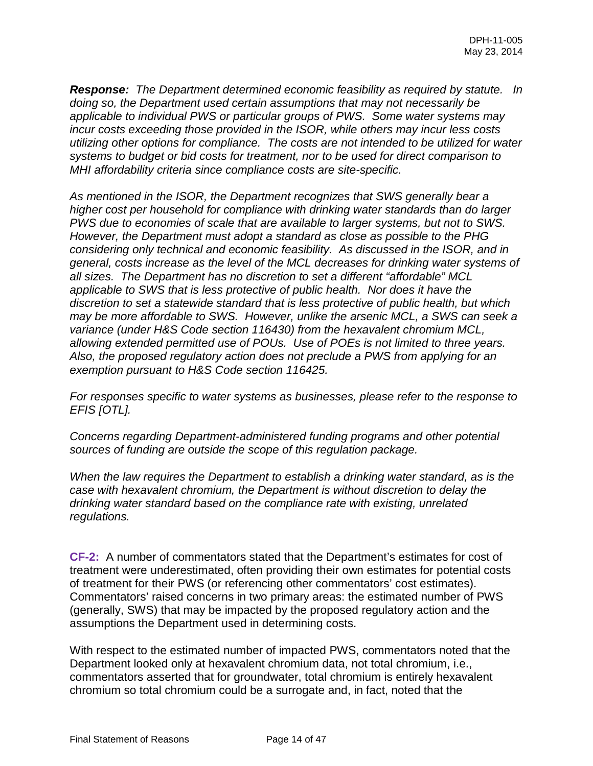*Response: The Department determined economic feasibility as required by statute. In doing so, the Department used certain assumptions that may not necessarily be applicable to individual PWS or particular groups of PWS. Some water systems may incur costs exceeding those provided in the ISOR, while others may incur less costs utilizing other options for compliance. The costs are not intended to be utilized for water systems to budget or bid costs for treatment, nor to be used for direct comparison to MHI affordability criteria since compliance costs are site-specific.* 

*As mentioned in the ISOR, the Department recognizes that SWS generally bear a higher cost per household for compliance with drinking water standards than do larger PWS due to economies of scale that are available to larger systems, but not to SWS. However, the Department must adopt a standard as close as possible to the PHG considering only technical and economic feasibility. As discussed in the ISOR, and in general, costs increase as the level of the MCL decreases for drinking water systems of all sizes. The Department has no discretion to set a different "affordable" MCL applicable to SWS that is less protective of public health. Nor does it have the discretion to set a statewide standard that is less protective of public health, but which may be more affordable to SWS. However, unlike the arsenic MCL, a SWS can seek a variance (under H&S Code section 116430) from the hexavalent chromium MCL, allowing extended permitted use of POUs. Use of POEs is not limited to three years. Also, the proposed regulatory action does not preclude a PWS from applying for an exemption pursuant to H&S Code section 116425.* 

*For responses specific to water systems as businesses, please refer to the response to EFIS [OTL].*

*Concerns regarding Department-administered funding programs and other potential sources of funding are outside the scope of this regulation package.* 

*When the law requires the Department to establish a drinking water standard, as is the case with hexavalent chromium, the Department is without discretion to delay the drinking water standard based on the compliance rate with existing, unrelated regulations.* 

**CF-2:** A number of commentators stated that the Department's estimates for cost of treatment were underestimated, often providing their own estimates for potential costs of treatment for their PWS (or referencing other commentators' cost estimates). Commentators' raised concerns in two primary areas: the estimated number of PWS (generally, SWS) that may be impacted by the proposed regulatory action and the assumptions the Department used in determining costs.

With respect to the estimated number of impacted PWS, commentators noted that the Department looked only at hexavalent chromium data, not total chromium, i.e., commentators asserted that for groundwater, total chromium is entirely hexavalent chromium so total chromium could be a surrogate and, in fact, noted that the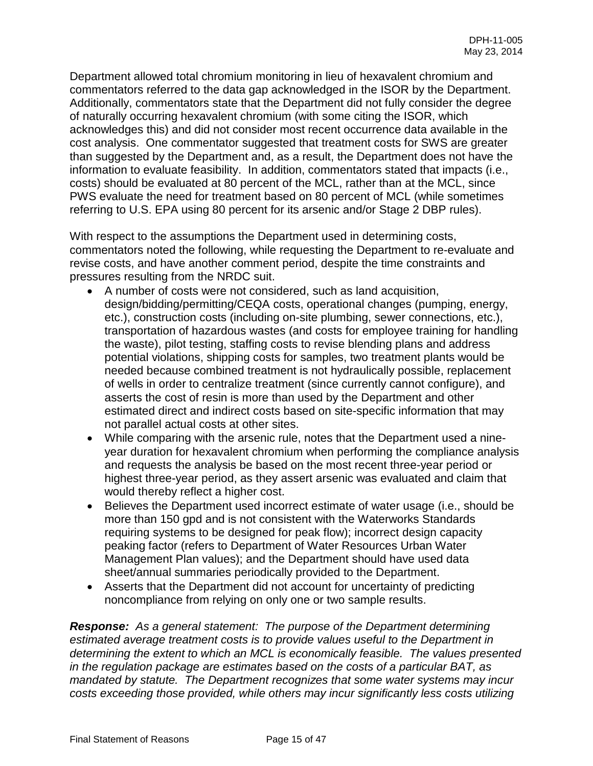Department allowed total chromium monitoring in lieu of hexavalent chromium and commentators referred to the data gap acknowledged in the ISOR by the Department. Additionally, commentators state that the Department did not fully consider the degree of naturally occurring hexavalent chromium (with some citing the ISOR, which acknowledges this) and did not consider most recent occurrence data available in the cost analysis. One commentator suggested that treatment costs for SWS are greater than suggested by the Department and, as a result, the Department does not have the information to evaluate feasibility. In addition, commentators stated that impacts (i.e., costs) should be evaluated at 80 percent of the MCL, rather than at the MCL, since PWS evaluate the need for treatment based on 80 percent of MCL (while sometimes referring to U.S. EPA using 80 percent for its arsenic and/or Stage 2 DBP rules).

With respect to the assumptions the Department used in determining costs, commentators noted the following, while requesting the Department to re-evaluate and revise costs, and have another comment period, despite the time constraints and pressures resulting from the NRDC suit.

- A number of costs were not considered, such as land acquisition, design/bidding/permitting/CEQA costs, operational changes (pumping, energy, etc.), construction costs (including on-site plumbing, sewer connections, etc.), transportation of hazardous wastes (and costs for employee training for handling the waste), pilot testing, staffing costs to revise blending plans and address potential violations, shipping costs for samples, two treatment plants would be needed because combined treatment is not hydraulically possible, replacement of wells in order to centralize treatment (since currently cannot configure), and asserts the cost of resin is more than used by the Department and other estimated direct and indirect costs based on site-specific information that may not parallel actual costs at other sites.
- While comparing with the arsenic rule, notes that the Department used a nineyear duration for hexavalent chromium when performing the compliance analysis and requests the analysis be based on the most recent three-year period or highest three-year period, as they assert arsenic was evaluated and claim that would thereby reflect a higher cost.
- Believes the Department used incorrect estimate of water usage (i.e., should be more than 150 gpd and is not consistent with the Waterworks Standards requiring systems to be designed for peak flow); incorrect design capacity peaking factor (refers to Department of Water Resources Urban Water Management Plan values); and the Department should have used data sheet/annual summaries periodically provided to the Department.
- Asserts that the Department did not account for uncertainty of predicting noncompliance from relying on only one or two sample results.

*Response: As a general statement: The purpose of the Department determining estimated average treatment costs is to provide values useful to the Department in determining the extent to which an MCL is economically feasible. The values presented in the regulation package are estimates based on the costs of a particular BAT, as mandated by statute. The Department recognizes that some water systems may incur costs exceeding those provided, while others may incur significantly less costs utilizing*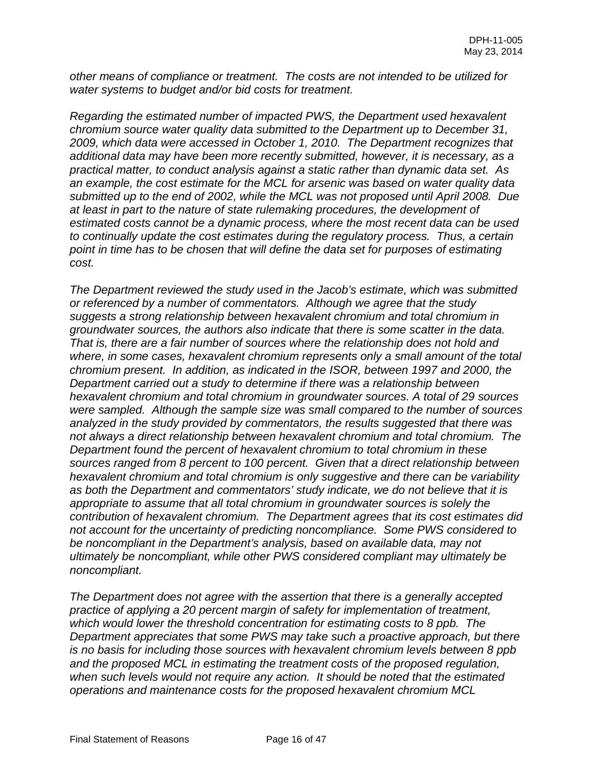*other means of compliance or treatment. The costs are not intended to be utilized for water systems to budget and/or bid costs for treatment.* 

*Regarding the estimated number of impacted PWS, the Department used hexavalent chromium source water quality data submitted to the Department up to December 31, 2009, which data were accessed in October 1, 2010. The Department recognizes that additional data may have been more recently submitted, however, it is necessary, as a practical matter, to conduct analysis against a static rather than dynamic data set. As an example, the cost estimate for the MCL for arsenic was based on water quality data submitted up to the end of 2002, while the MCL was not proposed until April 2008. Due at least in part to the nature of state rulemaking procedures, the development of estimated costs cannot be a dynamic process, where the most recent data can be used to continually update the cost estimates during the regulatory process. Thus, a certain point in time has to be chosen that will define the data set for purposes of estimating cost.* 

*The Department reviewed the study used in the Jacob's estimate, which was submitted or referenced by a number of commentators. Although we agree that the study suggests a strong relationship between hexavalent chromium and total chromium in groundwater sources, the authors also indicate that there is some scatter in the data. That is, there are a fair number of sources where the relationship does not hold and where, in some cases, hexavalent chromium represents only a small amount of the total chromium present. In addition, as indicated in the ISOR, between 1997 and 2000, the Department carried out a study to determine if there was a relationship between hexavalent chromium and total chromium in groundwater sources. A total of 29 sources were sampled. Although the sample size was small compared to the number of sources analyzed in the study provided by commentators, the results suggested that there was not always a direct relationship between hexavalent chromium and total chromium. The Department found the percent of hexavalent chromium to total chromium in these sources ranged from 8 percent to 100 percent. Given that a direct relationship between hexavalent chromium and total chromium is only suggestive and there can be variability as both the Department and commentators' study indicate, we do not believe that it is appropriate to assume that all total chromium in groundwater sources is solely the contribution of hexavalent chromium. The Department agrees that its cost estimates did not account for the uncertainty of predicting noncompliance. Some PWS considered to be noncompliant in the Department's analysis, based on available data, may not ultimately be noncompliant, while other PWS considered compliant may ultimately be noncompliant.* 

*The Department does not agree with the assertion that there is a generally accepted practice of applying a 20 percent margin of safety for implementation of treatment, which would lower the threshold concentration for estimating costs to 8 ppb. The Department appreciates that some PWS may take such a proactive approach, but there is no basis for including those sources with hexavalent chromium levels between 8 ppb and the proposed MCL in estimating the treatment costs of the proposed regulation, when such levels would not require any action. It should be noted that the estimated operations and maintenance costs for the proposed hexavalent chromium MCL*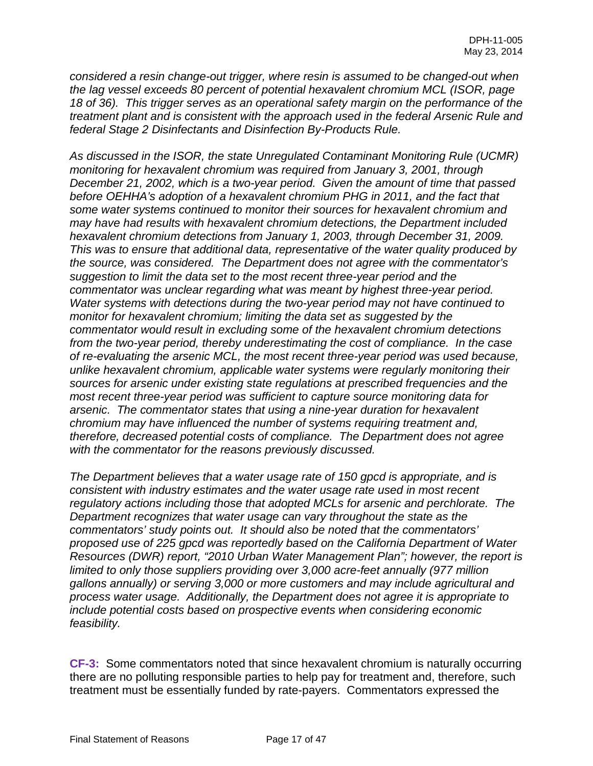*considered a resin change-out trigger, where resin is assumed to be changed-out when the lag vessel exceeds 80 percent of potential hexavalent chromium MCL (ISOR, page 18 of 36). This trigger serves as an operational safety margin on the performance of the treatment plant and is consistent with the approach used in the federal Arsenic Rule and federal Stage 2 Disinfectants and Disinfection By-Products Rule.*

*As discussed in the ISOR, the state Unregulated Contaminant Monitoring Rule (UCMR) monitoring for hexavalent chromium was required from January 3, 2001, through December 21, 2002, which is a two-year period. Given the amount of time that passed before OEHHA's adoption of a hexavalent chromium PHG in 2011, and the fact that some water systems continued to monitor their sources for hexavalent chromium and may have had results with hexavalent chromium detections, the Department included hexavalent chromium detections from January 1, 2003, through December 31, 2009. This was to ensure that additional data, representative of the water quality produced by the source, was considered. The Department does not agree with the commentator's suggestion to limit the data set to the most recent three-year period and the commentator was unclear regarding what was meant by highest three-year period. Water systems with detections during the two-year period may not have continued to monitor for hexavalent chromium; limiting the data set as suggested by the commentator would result in excluding some of the hexavalent chromium detections from the two-year period, thereby underestimating the cost of compliance. In the case of re-evaluating the arsenic MCL, the most recent three-year period was used because, unlike hexavalent chromium, applicable water systems were regularly monitoring their sources for arsenic under existing state regulations at prescribed frequencies and the most recent three-year period was sufficient to capture source monitoring data for arsenic. The commentator states that using a nine-year duration for hexavalent chromium may have influenced the number of systems requiring treatment and, therefore, decreased potential costs of compliance. The Department does not agree with the commentator for the reasons previously discussed.* 

*The Department believes that a water usage rate of 150 gpcd is appropriate, and is consistent with industry estimates and the water usage rate used in most recent regulatory actions including those that adopted MCLs for arsenic and perchlorate. The Department recognizes that water usage can vary throughout the state as the commentators' study points out. It should also be noted that the commentators' proposed use of 225 gpcd was reportedly based on the California Department of Water Resources (DWR) report, "2010 Urban Water Management Plan"; however, the report is limited to only those suppliers providing over 3,000 acre-feet annually (977 million gallons annually) or serving 3,000 or more customers and may include agricultural and process water usage. Additionally, the Department does not agree it is appropriate to include potential costs based on prospective events when considering economic feasibility.* 

**CF-3:** Some commentators noted that since hexavalent chromium is naturally occurring there are no polluting responsible parties to help pay for treatment and, therefore, such treatment must be essentially funded by rate-payers. Commentators expressed the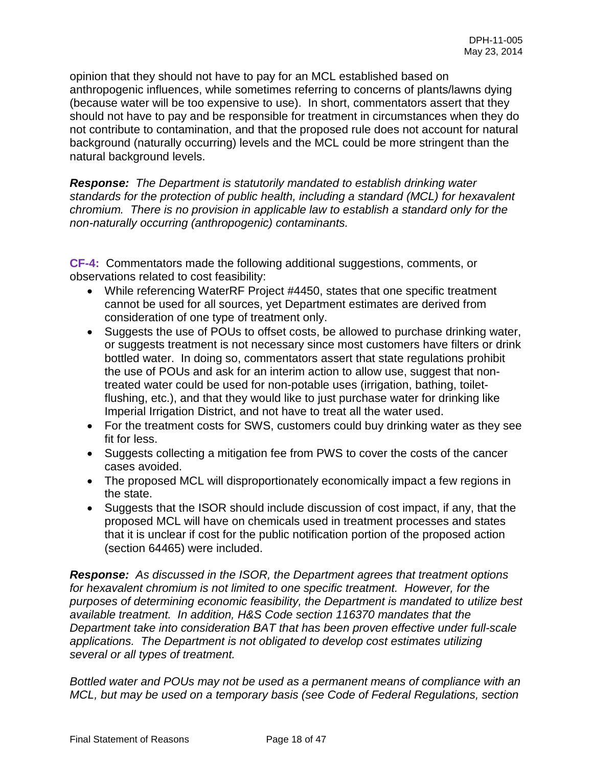opinion that they should not have to pay for an MCL established based on anthropogenic influences, while sometimes referring to concerns of plants/lawns dying (because water will be too expensive to use). In short, commentators assert that they should not have to pay and be responsible for treatment in circumstances when they do not contribute to contamination, and that the proposed rule does not account for natural background (naturally occurring) levels and the MCL could be more stringent than the natural background levels.

*Response: The Department is statutorily mandated to establish drinking water standards for the protection of public health, including a standard (MCL) for hexavalent chromium. There is no provision in applicable law to establish a standard only for the non-naturally occurring (anthropogenic) contaminants.* 

**CF-4:** Commentators made the following additional suggestions, comments, or observations related to cost feasibility:

- While referencing WaterRF Project #4450, states that one specific treatment cannot be used for all sources, yet Department estimates are derived from consideration of one type of treatment only.
- Suggests the use of POUs to offset costs, be allowed to purchase drinking water, or suggests treatment is not necessary since most customers have filters or drink bottled water. In doing so, commentators assert that state regulations prohibit the use of POUs and ask for an interim action to allow use, suggest that nontreated water could be used for non-potable uses (irrigation, bathing, toiletflushing, etc.), and that they would like to just purchase water for drinking like Imperial Irrigation District, and not have to treat all the water used.
- For the treatment costs for SWS, customers could buy drinking water as they see fit for less.
- Suggests collecting a mitigation fee from PWS to cover the costs of the cancer cases avoided.
- The proposed MCL will disproportionately economically impact a few regions in the state.
- Suggests that the ISOR should include discussion of cost impact, if any, that the proposed MCL will have on chemicals used in treatment processes and states that it is unclear if cost for the public notification portion of the proposed action (section 64465) were included.

*Response: As discussed in the ISOR, the Department agrees that treatment options for hexavalent chromium is not limited to one specific treatment. However, for the purposes of determining economic feasibility, the Department is mandated to utilize best available treatment. In addition, H&S Code section 116370 mandates that the Department take into consideration BAT that has been proven effective under full-scale applications. The Department is not obligated to develop cost estimates utilizing several or all types of treatment.* 

*Bottled water and POUs may not be used as a permanent means of compliance with an MCL, but may be used on a temporary basis (see Code of Federal Regulations, section*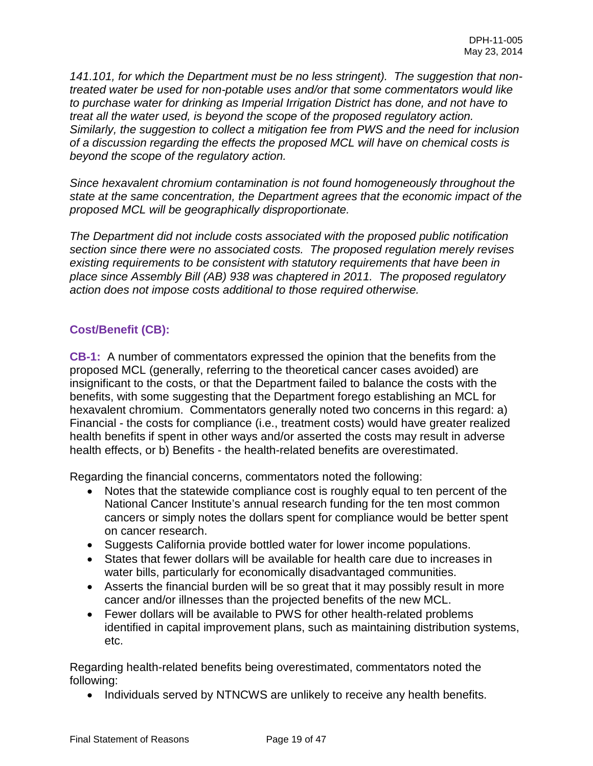*141.101, for which the Department must be no less stringent). The suggestion that nontreated water be used for non-potable uses and/or that some commentators would like to purchase water for drinking as Imperial Irrigation District has done, and not have to treat all the water used, is beyond the scope of the proposed regulatory action. Similarly, the suggestion to collect a mitigation fee from PWS and the need for inclusion of a discussion regarding the effects the proposed MCL will have on chemical costs is beyond the scope of the regulatory action.* 

*Since hexavalent chromium contamination is not found homogeneously throughout the state at the same concentration, the Department agrees that the economic impact of the proposed MCL will be geographically disproportionate.* 

*The Department did not include costs associated with the proposed public notification section since there were no associated costs. The proposed regulation merely revises existing requirements to be consistent with statutory requirements that have been in place since Assembly Bill (AB) 938 was chaptered in 2011. The proposed regulatory action does not impose costs additional to those required otherwise.* 

## **Cost/Benefit (CB):**

**CB-1:** A number of commentators expressed the opinion that the benefits from the proposed MCL (generally, referring to the theoretical cancer cases avoided) are insignificant to the costs, or that the Department failed to balance the costs with the benefits, with some suggesting that the Department forego establishing an MCL for hexavalent chromium. Commentators generally noted two concerns in this regard: a) Financial - the costs for compliance (i.e., treatment costs) would have greater realized health benefits if spent in other ways and/or asserted the costs may result in adverse health effects, or b) Benefits - the health-related benefits are overestimated.

Regarding the financial concerns, commentators noted the following:

- Notes that the statewide compliance cost is roughly equal to ten percent of the National Cancer Institute's annual research funding for the ten most common cancers or simply notes the dollars spent for compliance would be better spent on cancer research.
- Suggests California provide bottled water for lower income populations.
- States that fewer dollars will be available for health care due to increases in water bills, particularly for economically disadvantaged communities.
- Asserts the financial burden will be so great that it may possibly result in more cancer and/or illnesses than the projected benefits of the new MCL.
- Fewer dollars will be available to PWS for other health-related problems identified in capital improvement plans, such as maintaining distribution systems, etc.

Regarding health-related benefits being overestimated, commentators noted the following:

• Individuals served by NTNCWS are unlikely to receive any health benefits.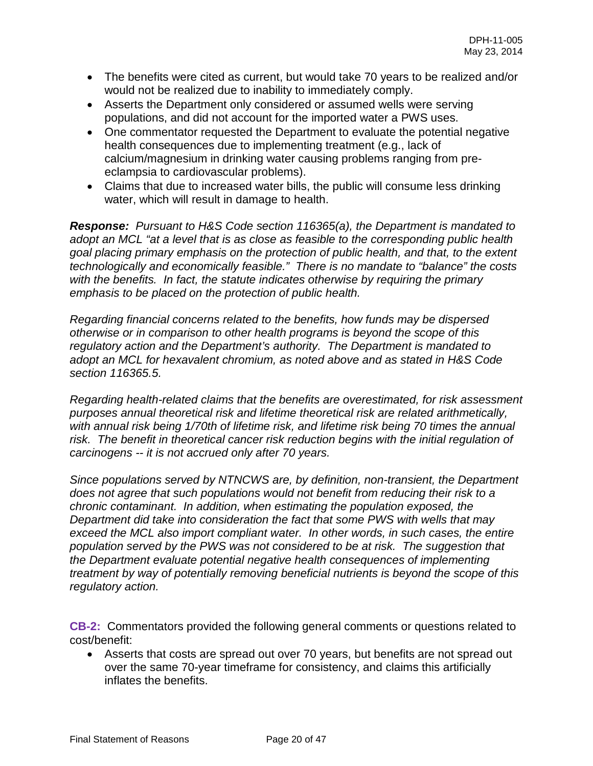- The benefits were cited as current, but would take 70 years to be realized and/or would not be realized due to inability to immediately comply.
- Asserts the Department only considered or assumed wells were serving populations, and did not account for the imported water a PWS uses.
- One commentator requested the Department to evaluate the potential negative health consequences due to implementing treatment (e.g., lack of calcium/magnesium in drinking water causing problems ranging from preeclampsia to cardiovascular problems).
- Claims that due to increased water bills, the public will consume less drinking water, which will result in damage to health.

*Response: Pursuant to H&S Code section 116365(a), the Department is mandated to adopt an MCL "at a level that is as close as feasible to the corresponding public health goal placing primary emphasis on the protection of public health, and that, to the extent technologically and economically feasible." There is no mandate to "balance" the costs with the benefits. In fact, the statute indicates otherwise by requiring the primary emphasis to be placed on the protection of public health.* 

*Regarding financial concerns related to the benefits, how funds may be dispersed otherwise or in comparison to other health programs is beyond the scope of this regulatory action and the Department's authority. The Department is mandated to adopt an MCL for hexavalent chromium, as noted above and as stated in H&S Code section 116365.5.* 

*Regarding health-related claims that the benefits are overestimated, for risk assessment purposes annual theoretical risk and lifetime theoretical risk are related arithmetically, with annual risk being 1/70th of lifetime risk, and lifetime risk being 70 times the annual*  risk. The benefit in theoretical cancer risk reduction begins with the initial regulation of *carcinogens -- it is not accrued only after 70 years.* 

*Since populations served by NTNCWS are, by definition, non-transient, the Department does not agree that such populations would not benefit from reducing their risk to a chronic contaminant. In addition, when estimating the population exposed, the Department did take into consideration the fact that some PWS with wells that may exceed the MCL also import compliant water. In other words, in such cases, the entire population served by the PWS was not considered to be at risk. The suggestion that the Department evaluate potential negative health consequences of implementing treatment by way of potentially removing beneficial nutrients is beyond the scope of this regulatory action.* 

**CB-2:** Commentators provided the following general comments or questions related to cost/benefit:

• Asserts that costs are spread out over 70 years, but benefits are not spread out over the same 70-year timeframe for consistency, and claims this artificially inflates the benefits.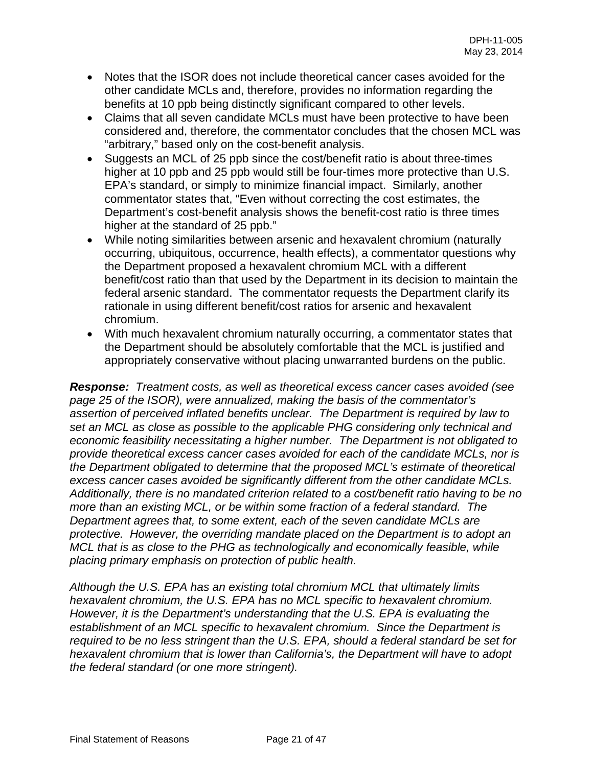- Notes that the ISOR does not include theoretical cancer cases avoided for the other candidate MCLs and, therefore, provides no information regarding the benefits at 10 ppb being distinctly significant compared to other levels.
- Claims that all seven candidate MCLs must have been protective to have been considered and, therefore, the commentator concludes that the chosen MCL was "arbitrary," based only on the cost-benefit analysis.
- Suggests an MCL of 25 ppb since the cost/benefit ratio is about three-times higher at 10 ppb and 25 ppb would still be four-times more protective than U.S. EPA's standard, or simply to minimize financial impact. Similarly, another commentator states that, "Even without correcting the cost estimates, the Department's cost-benefit analysis shows the benefit-cost ratio is three times higher at the standard of 25 ppb."
- While noting similarities between arsenic and hexavalent chromium (naturally occurring, ubiquitous, occurrence, health effects), a commentator questions why the Department proposed a hexavalent chromium MCL with a different benefit/cost ratio than that used by the Department in its decision to maintain the federal arsenic standard. The commentator requests the Department clarify its rationale in using different benefit/cost ratios for arsenic and hexavalent chromium.
- With much hexavalent chromium naturally occurring, a commentator states that the Department should be absolutely comfortable that the MCL is justified and appropriately conservative without placing unwarranted burdens on the public.

*Response: Treatment costs, as well as theoretical excess cancer cases avoided (see page 25 of the ISOR), were annualized, making the basis of the commentator's assertion of perceived inflated benefits unclear. The Department is required by law to set an MCL as close as possible to the applicable PHG considering only technical and economic feasibility necessitating a higher number. The Department is not obligated to provide theoretical excess cancer cases avoided for each of the candidate MCLs, nor is the Department obligated to determine that the proposed MCL's estimate of theoretical excess cancer cases avoided be significantly different from the other candidate MCLs. Additionally, there is no mandated criterion related to a cost/benefit ratio having to be no more than an existing MCL, or be within some fraction of a federal standard. The Department agrees that, to some extent, each of the seven candidate MCLs are protective. However, the overriding mandate placed on the Department is to adopt an MCL that is as close to the PHG as technologically and economically feasible, while placing primary emphasis on protection of public health.* 

*Although the U.S. EPA has an existing total chromium MCL that ultimately limits hexavalent chromium, the U.S. EPA has no MCL specific to hexavalent chromium. However, it is the Department's understanding that the U.S. EPA is evaluating the establishment of an MCL specific to hexavalent chromium. Since the Department is required to be no less stringent than the U.S. EPA, should a federal standard be set for hexavalent chromium that is lower than California's, the Department will have to adopt the federal standard (or one more stringent).*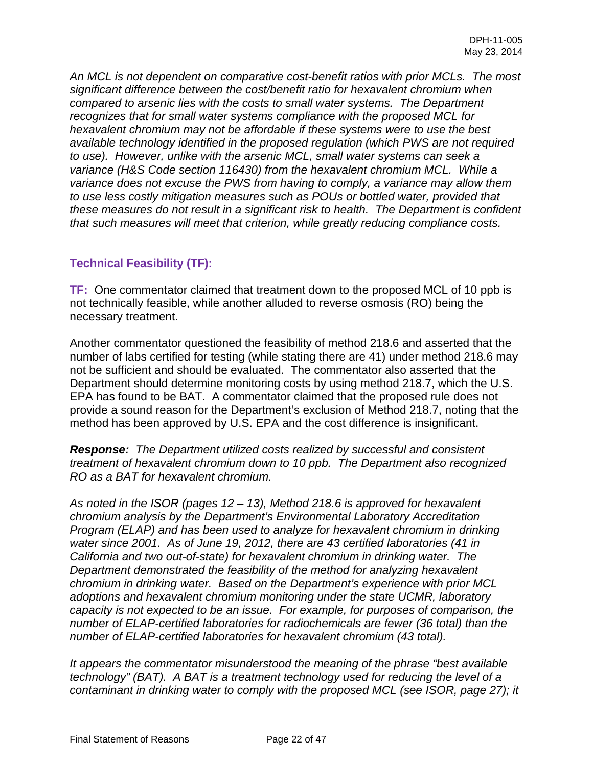*An MCL is not dependent on comparative cost-benefit ratios with prior MCLs. The most significant difference between the cost/benefit ratio for hexavalent chromium when compared to arsenic lies with the costs to small water systems. The Department recognizes that for small water systems compliance with the proposed MCL for hexavalent chromium may not be affordable if these systems were to use the best available technology identified in the proposed regulation (which PWS are not required to use). However, unlike with the arsenic MCL, small water systems can seek a variance (H&S Code section 116430) from the hexavalent chromium MCL. While a variance does not excuse the PWS from having to comply, a variance may allow them to use less costly mitigation measures such as POUs or bottled water, provided that these measures do not result in a significant risk to health. The Department is confident that such measures will meet that criterion, while greatly reducing compliance costs.* 

## **Technical Feasibility (TF):**

**TF:** One commentator claimed that treatment down to the proposed MCL of 10 ppb is not technically feasible, while another alluded to reverse osmosis (RO) being the necessary treatment.

Another commentator questioned the feasibility of method 218.6 and asserted that the number of labs certified for testing (while stating there are 41) under method 218.6 may not be sufficient and should be evaluated. The commentator also asserted that the Department should determine monitoring costs by using method 218.7, which the U.S. EPA has found to be BAT. A commentator claimed that the proposed rule does not provide a sound reason for the Department's exclusion of Method 218.7, noting that the method has been approved by U.S. EPA and the cost difference is insignificant.

*Response: The Department utilized costs realized by successful and consistent treatment of hexavalent chromium down to 10 ppb. The Department also recognized RO as a BAT for hexavalent chromium.*

*As noted in the ISOR (pages 12 – 13), Method 218.6 is approved for hexavalent chromium analysis by the Department's Environmental Laboratory Accreditation Program (ELAP) and has been used to analyze for hexavalent chromium in drinking water since 2001. As of June 19, 2012, there are 43 certified laboratories (41 in California and two out-of-state) for hexavalent chromium in drinking water. The Department demonstrated the feasibility of the method for analyzing hexavalent chromium in drinking water. Based on the Department's experience with prior MCL adoptions and hexavalent chromium monitoring under the state UCMR, laboratory capacity is not expected to be an issue. For example, for purposes of comparison, the number of ELAP-certified laboratories for radiochemicals are fewer (36 total) than the number of ELAP-certified laboratories for hexavalent chromium (43 total).* 

*It appears the commentator misunderstood the meaning of the phrase "best available technology" (BAT). A BAT is a treatment technology used for reducing the level of a contaminant in drinking water to comply with the proposed MCL (see ISOR, page 27); it*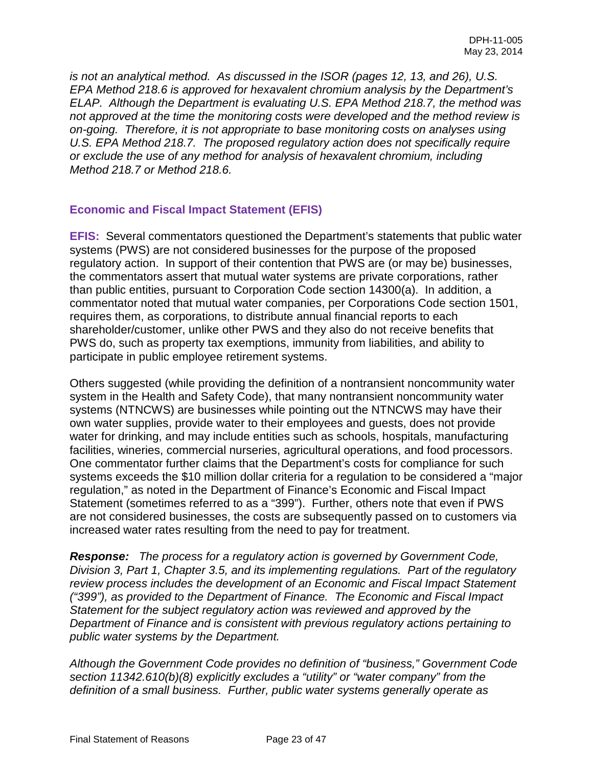*is not an analytical method. As discussed in the ISOR (pages 12, 13, and 26), U.S. EPA Method 218.6 is approved for hexavalent chromium analysis by the Department's ELAP. Although the Department is evaluating U.S. EPA Method 218.7, the method was not approved at the time the monitoring costs were developed and the method review is on-going. Therefore, it is not appropriate to base monitoring costs on analyses using U.S. EPA Method 218.7. The proposed regulatory action does not specifically require or exclude the use of any method for analysis of hexavalent chromium, including Method 218.7 or Method 218.6.* 

### **Economic and Fiscal Impact Statement (EFIS)**

**EFIS:** Several commentators questioned the Department's statements that public water systems (PWS) are not considered businesses for the purpose of the proposed regulatory action. In support of their contention that PWS are (or may be) businesses, the commentators assert that mutual water systems are private corporations, rather than public entities, pursuant to Corporation Code section 14300(a). In addition, a commentator noted that mutual water companies, per Corporations Code section 1501, requires them, as corporations, to distribute annual financial reports to each shareholder/customer, unlike other PWS and they also do not receive benefits that PWS do, such as property tax exemptions, immunity from liabilities, and ability to participate in public employee retirement systems.

Others suggested (while providing the definition of a nontransient noncommunity water system in the Health and Safety Code), that many nontransient noncommunity water systems (NTNCWS) are businesses while pointing out the NTNCWS may have their own water supplies, provide water to their employees and guests, does not provide water for drinking, and may include entities such as schools, hospitals, manufacturing facilities, wineries, commercial nurseries, agricultural operations, and food processors. One commentator further claims that the Department's costs for compliance for such systems exceeds the \$10 million dollar criteria for a regulation to be considered a "major regulation," as noted in the Department of Finance's Economic and Fiscal Impact Statement (sometimes referred to as a "399"). Further, others note that even if PWS are not considered businesses, the costs are subsequently passed on to customers via increased water rates resulting from the need to pay for treatment.

*Response: The process for a regulatory action is governed by Government Code, Division 3, Part 1, Chapter 3.5, and its implementing regulations. Part of the regulatory review process includes the development of an Economic and Fiscal Impact Statement ("399"), as provided to the Department of Finance. The Economic and Fiscal Impact Statement for the subject regulatory action was reviewed and approved by the Department of Finance and is consistent with previous regulatory actions pertaining to public water systems by the Department.* 

*Although the Government Code provides no definition of "business," Government Code section 11342.610(b)(8) explicitly excludes a "utility" or "water company" from the definition of a small business. Further, public water systems generally operate as*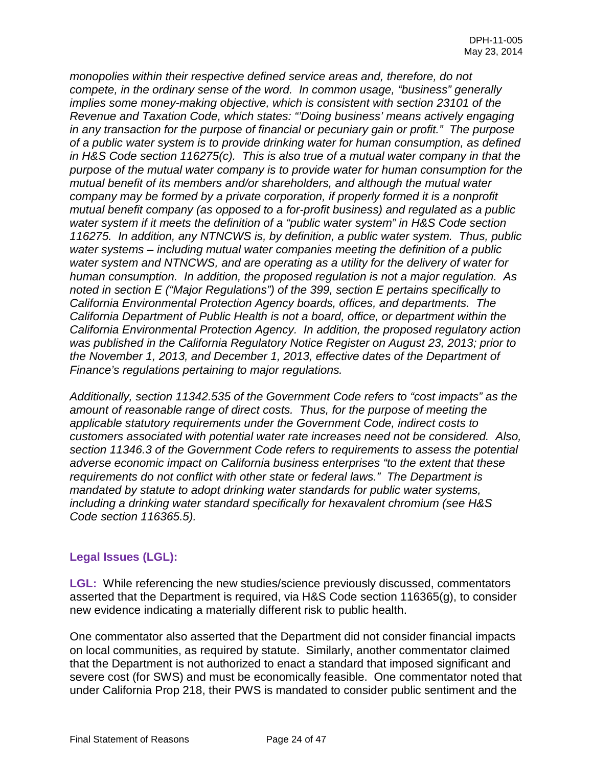*monopolies within their respective defined service areas and, therefore, do not compete, in the ordinary sense of the word. In common usage, "business" generally implies some money-making objective, which is consistent with section 23101 of the Revenue and Taxation Code, which states: "'Doing business' means actively engaging in any transaction for the purpose of financial or pecuniary gain or profit." The purpose of a public water system is to provide drinking water for human consumption, as defined in H&S Code section 116275(c). This is also true of a mutual water company in that the purpose of the mutual water company is to provide water for human consumption for the mutual benefit of its members and/or shareholders, and although the mutual water company may be formed by a private corporation, if properly formed it is a nonprofit mutual benefit company (as opposed to a for-profit business) and regulated as a public water system if it meets the definition of a "public water system" in H&S Code section 116275. In addition, any NTNCWS is, by definition, a public water system. Thus, public water systems – including mutual water companies meeting the definition of a public water system and NTNCWS, and are operating as a utility for the delivery of water for human consumption. In addition, the proposed regulation is not a major regulation. As noted in section E ("Major Regulations") of the 399, section E pertains specifically to California Environmental Protection Agency boards, offices, and departments. The California Department of Public Health is not a board, office, or department within the California Environmental Protection Agency. In addition, the proposed regulatory action was published in the California Regulatory Notice Register on August 23, 2013; prior to the November 1, 2013, and December 1, 2013, effective dates of the Department of Finance's regulations pertaining to major regulations.* 

*Additionally, section 11342.535 of the Government Code refers to "cost impacts" as the amount of reasonable range of direct costs. Thus, for the purpose of meeting the applicable statutory requirements under the Government Code, indirect costs to customers associated with potential water rate increases need not be considered. Also, section 11346.3 of the Government Code refers to requirements to assess the potential adverse economic impact on California business enterprises "to the extent that these requirements do not conflict with other state or federal laws." The Department is mandated by statute to adopt drinking water standards for public water systems, including a drinking water standard specifically for hexavalent chromium (see H&S Code section 116365.5).*

## **Legal Issues (LGL):**

**LGL:** While referencing the new studies/science previously discussed, commentators asserted that the Department is required, via H&S Code section 116365(g), to consider new evidence indicating a materially different risk to public health.

One commentator also asserted that the Department did not consider financial impacts on local communities, as required by statute. Similarly, another commentator claimed that the Department is not authorized to enact a standard that imposed significant and severe cost (for SWS) and must be economically feasible. One commentator noted that under California Prop 218, their PWS is mandated to consider public sentiment and the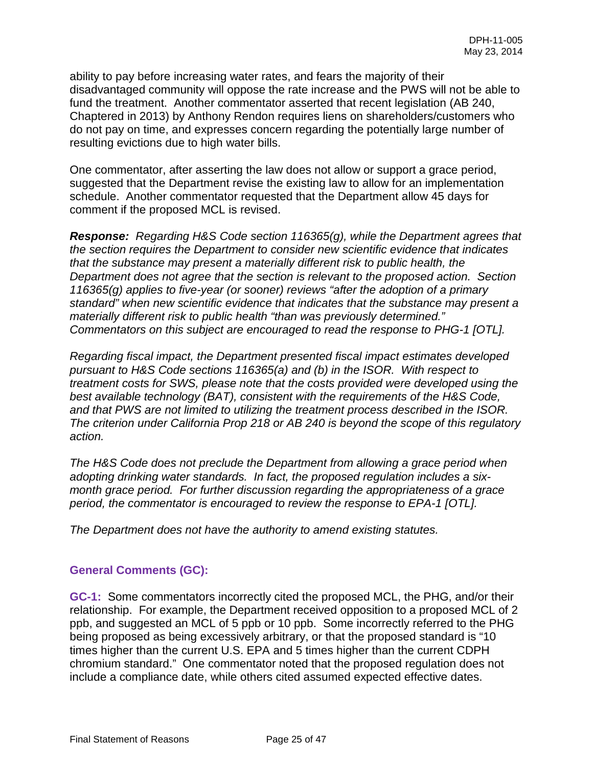ability to pay before increasing water rates, and fears the majority of their disadvantaged community will oppose the rate increase and the PWS will not be able to fund the treatment. Another commentator asserted that recent legislation (AB 240, Chaptered in 2013) by Anthony Rendon requires liens on shareholders/customers who do not pay on time, and expresses concern regarding the potentially large number of resulting evictions due to high water bills.

One commentator, after asserting the law does not allow or support a grace period, suggested that the Department revise the existing law to allow for an implementation schedule. Another commentator requested that the Department allow 45 days for comment if the proposed MCL is revised.

*Response: Regarding H&S Code section 116365(g), while the Department agrees that the section requires the Department to consider new scientific evidence that indicates that the substance may present a materially different risk to public health, the Department does not agree that the section is relevant to the proposed action. Section 116365(g) applies to five-year (or sooner) reviews "after the adoption of a primary standard" when new scientific evidence that indicates that the substance may present a materially different risk to public health "than was previously determined." Commentators on this subject are encouraged to read the response to PHG-1 [OTL].* 

*Regarding fiscal impact, the Department presented fiscal impact estimates developed pursuant to H&S Code sections 116365(a) and (b) in the ISOR. With respect to treatment costs for SWS, please note that the costs provided were developed using the best available technology (BAT), consistent with the requirements of the H&S Code, and that PWS are not limited to utilizing the treatment process described in the ISOR. The criterion under California Prop 218 or AB 240 is beyond the scope of this regulatory action.* 

*The H&S Code does not preclude the Department from allowing a grace period when adopting drinking water standards. In fact, the proposed regulation includes a sixmonth grace period. For further discussion regarding the appropriateness of a grace period, the commentator is encouraged to review the response to EPA-1 [OTL].* 

*The Department does not have the authority to amend existing statutes.* 

## **General Comments (GC):**

**GC-1:** Some commentators incorrectly cited the proposed MCL, the PHG, and/or their relationship. For example, the Department received opposition to a proposed MCL of 2 ppb, and suggested an MCL of 5 ppb or 10 ppb. Some incorrectly referred to the PHG being proposed as being excessively arbitrary, or that the proposed standard is "10 times higher than the current U.S. EPA and 5 times higher than the current CDPH chromium standard." One commentator noted that the proposed regulation does not include a compliance date, while others cited assumed expected effective dates.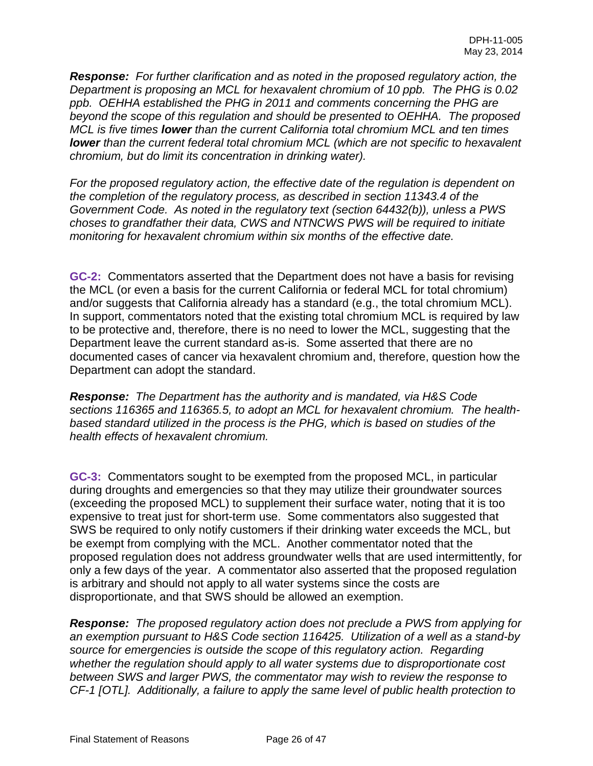*Response: For further clarification and as noted in the proposed regulatory action, the Department is proposing an MCL for hexavalent chromium of 10 ppb. The PHG is 0.02 ppb. OEHHA established the PHG in 2011 and comments concerning the PHG are beyond the scope of this regulation and should be presented to OEHHA. The proposed MCL is five times lower than the current California total chromium MCL and ten times lower than the current federal total chromium MCL (which are not specific to hexavalent chromium, but do limit its concentration in drinking water).* 

*For the proposed regulatory action, the effective date of the regulation is dependent on the completion of the regulatory process, as described in section 11343.4 of the Government Code. As noted in the regulatory text (section 64432(b)), unless a PWS choses to grandfather their data, CWS and NTNCWS PWS will be required to initiate monitoring for hexavalent chromium within six months of the effective date.*

**GC-2:** Commentators asserted that the Department does not have a basis for revising the MCL (or even a basis for the current California or federal MCL for total chromium) and/or suggests that California already has a standard (e.g., the total chromium MCL). In support, commentators noted that the existing total chromium MCL is required by law to be protective and, therefore, there is no need to lower the MCL, suggesting that the Department leave the current standard as-is. Some asserted that there are no documented cases of cancer via hexavalent chromium and, therefore, question how the Department can adopt the standard.

*Response: The Department has the authority and is mandated, via H&S Code sections 116365 and 116365.5, to adopt an MCL for hexavalent chromium. The healthbased standard utilized in the process is the PHG, which is based on studies of the health effects of hexavalent chromium.* 

**GC-3:** Commentators sought to be exempted from the proposed MCL, in particular during droughts and emergencies so that they may utilize their groundwater sources (exceeding the proposed MCL) to supplement their surface water, noting that it is too expensive to treat just for short-term use. Some commentators also suggested that SWS be required to only notify customers if their drinking water exceeds the MCL, but be exempt from complying with the MCL. Another commentator noted that the proposed regulation does not address groundwater wells that are used intermittently, for only a few days of the year. A commentator also asserted that the proposed regulation is arbitrary and should not apply to all water systems since the costs are disproportionate, and that SWS should be allowed an exemption.

*Response: The proposed regulatory action does not preclude a PWS from applying for an exemption pursuant to H&S Code section 116425. Utilization of a well as a stand-by source for emergencies is outside the scope of this regulatory action. Regarding whether the regulation should apply to all water systems due to disproportionate cost between SWS and larger PWS, the commentator may wish to review the response to CF-1 [OTL]. Additionally, a failure to apply the same level of public health protection to*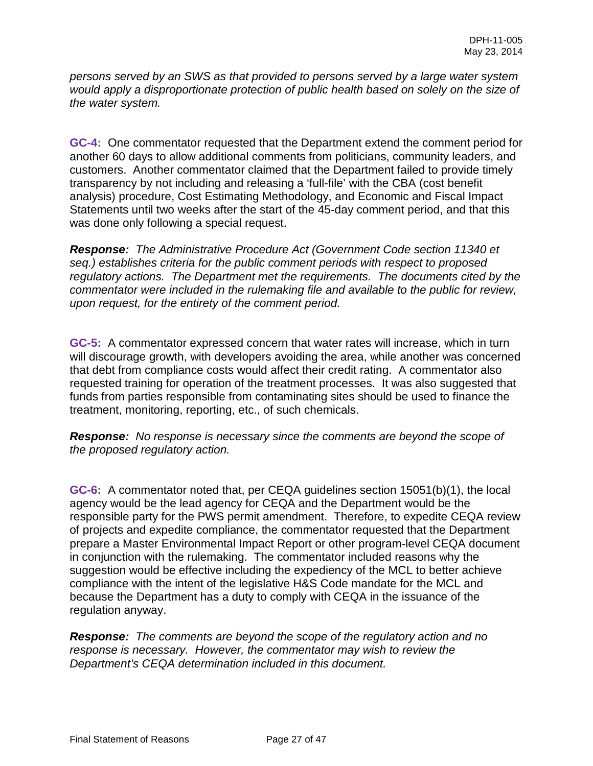*persons served by an SWS as that provided to persons served by a large water system would apply a disproportionate protection of public health based on solely on the size of the water system.* 

**GC-4:** One commentator requested that the Department extend the comment period for another 60 days to allow additional comments from politicians, community leaders, and customers. Another commentator claimed that the Department failed to provide timely transparency by not including and releasing a 'full-file' with the CBA (cost benefit analysis) procedure, Cost Estimating Methodology, and Economic and Fiscal Impact Statements until two weeks after the start of the 45-day comment period, and that this was done only following a special request.

*Response: The Administrative Procedure Act (Government Code section 11340 et seq.) establishes criteria for the public comment periods with respect to proposed regulatory actions. The Department met the requirements. The documents cited by the commentator were included in the rulemaking file and available to the public for review, upon request, for the entirety of the comment period.* 

**GC-5:** A commentator expressed concern that water rates will increase, which in turn will discourage growth, with developers avoiding the area, while another was concerned that debt from compliance costs would affect their credit rating. A commentator also requested training for operation of the treatment processes. It was also suggested that funds from parties responsible from contaminating sites should be used to finance the treatment, monitoring, reporting, etc., of such chemicals.

*Response: No response is necessary since the comments are beyond the scope of the proposed regulatory action.* 

**GC-6:** A commentator noted that, per CEQA guidelines section 15051(b)(1), the local agency would be the lead agency for CEQA and the Department would be the responsible party for the PWS permit amendment. Therefore, to expedite CEQA review of projects and expedite compliance, the commentator requested that the Department prepare a Master Environmental Impact Report or other program-level CEQA document in conjunction with the rulemaking. The commentator included reasons why the suggestion would be effective including the expediency of the MCL to better achieve compliance with the intent of the legislative H&S Code mandate for the MCL and because the Department has a duty to comply with CEQA in the issuance of the regulation anyway.

*Response: The comments are beyond the scope of the regulatory action and no response is necessary. However, the commentator may wish to review the Department's CEQA determination included in this document.*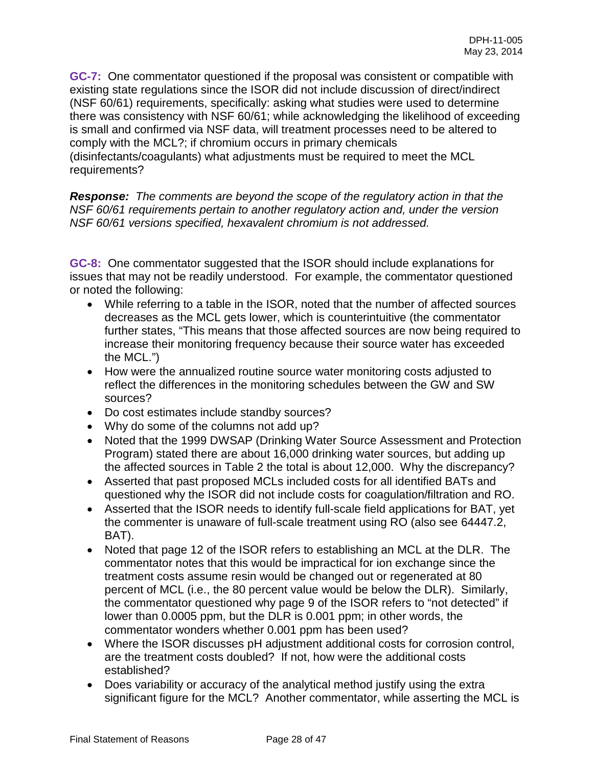**GC-7:** One commentator questioned if the proposal was consistent or compatible with existing state regulations since the ISOR did not include discussion of direct/indirect (NSF 60/61) requirements, specifically: asking what studies were used to determine there was consistency with NSF 60/61; while acknowledging the likelihood of exceeding is small and confirmed via NSF data, will treatment processes need to be altered to comply with the MCL?; if chromium occurs in primary chemicals (disinfectants/coagulants) what adjustments must be required to meet the MCL requirements?

*Response: The comments are beyond the scope of the regulatory action in that the NSF 60/61 requirements pertain to another regulatory action and, under the version NSF 60/61 versions specified, hexavalent chromium is not addressed.* 

**GC-8:** One commentator suggested that the ISOR should include explanations for issues that may not be readily understood. For example, the commentator questioned or noted the following:

- While referring to a table in the ISOR, noted that the number of affected sources decreases as the MCL gets lower, which is counterintuitive (the commentator further states, "This means that those affected sources are now being required to increase their monitoring frequency because their source water has exceeded the MCL.")
- How were the annualized routine source water monitoring costs adjusted to reflect the differences in the monitoring schedules between the GW and SW sources?
- Do cost estimates include standby sources?
- Why do some of the columns not add up?
- Noted that the 1999 DWSAP (Drinking Water Source Assessment and Protection Program) stated there are about 16,000 drinking water sources, but adding up the affected sources in Table 2 the total is about 12,000. Why the discrepancy?
- Asserted that past proposed MCLs included costs for all identified BATs and questioned why the ISOR did not include costs for coagulation/filtration and RO.
- Asserted that the ISOR needs to identify full-scale field applications for BAT, yet the commenter is unaware of full-scale treatment using RO (also see 64447.2, BAT).
- Noted that page 12 of the ISOR refers to establishing an MCL at the DLR. The commentator notes that this would be impractical for ion exchange since the treatment costs assume resin would be changed out or regenerated at 80 percent of MCL (i.e., the 80 percent value would be below the DLR). Similarly, the commentator questioned why page 9 of the ISOR refers to "not detected" if lower than 0.0005 ppm, but the DLR is 0.001 ppm; in other words, the commentator wonders whether 0.001 ppm has been used?
- Where the ISOR discusses pH adjustment additional costs for corrosion control, are the treatment costs doubled? If not, how were the additional costs established?
- Does variability or accuracy of the analytical method justify using the extra significant figure for the MCL? Another commentator, while asserting the MCL is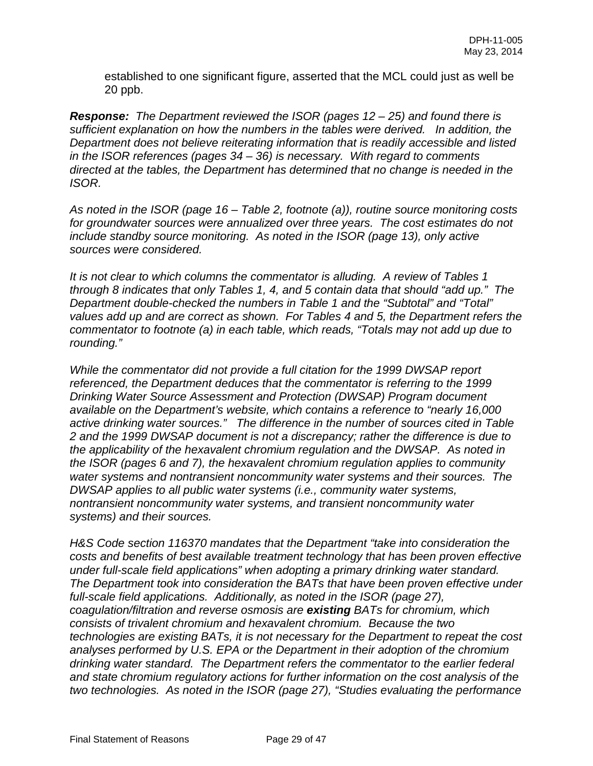established to one significant figure, asserted that the MCL could just as well be 20 ppb.

*Response: The Department reviewed the ISOR (pages 12 – 25) and found there is sufficient explanation on how the numbers in the tables were derived. In addition, the Department does not believe reiterating information that is readily accessible and listed in the ISOR references (pages 34 – 36) is necessary. With regard to comments directed at the tables, the Department has determined that no change is needed in the ISOR.* 

*As noted in the ISOR (page 16 – Table 2, footnote (a)), routine source monitoring costs for groundwater sources were annualized over three years. The cost estimates do not include standby source monitoring. As noted in the ISOR (page 13), only active sources were considered.*

*It is not clear to which columns the commentator is alluding. A review of Tables 1 through 8 indicates that only Tables 1, 4, and 5 contain data that should "add up." The Department double-checked the numbers in Table 1 and the "Subtotal" and "Total" values add up and are correct as shown. For Tables 4 and 5, the Department refers the commentator to footnote (a) in each table, which reads, "Totals may not add up due to rounding."*

*While the commentator did not provide a full citation for the 1999 DWSAP report referenced, the Department deduces that the commentator is referring to the 1999 Drinking Water Source Assessment and Protection (DWSAP) Program document available on the Department's website, which contains a reference to "nearly 16,000 active drinking water sources." The difference in the number of sources cited in Table 2 and the 1999 DWSAP document is not a discrepancy; rather the difference is due to the applicability of the hexavalent chromium regulation and the DWSAP. As noted in the ISOR (pages 6 and 7), the hexavalent chromium regulation applies to community water systems and nontransient noncommunity water systems and their sources. The DWSAP applies to all public water systems (i.e., community water systems, nontransient noncommunity water systems, and transient noncommunity water systems) and their sources.* 

*H&S Code section 116370 mandates that the Department "take into consideration the costs and benefits of best available treatment technology that has been proven effective under full-scale field applications" when adopting a primary drinking water standard. The Department took into consideration the BATs that have been proven effective under full-scale field applications. Additionally, as noted in the ISOR (page 27), coagulation/filtration and reverse osmosis are existing BATs for chromium, which consists of trivalent chromium and hexavalent chromium. Because the two technologies are existing BATs, it is not necessary for the Department to repeat the cost analyses performed by U.S. EPA or the Department in their adoption of the chromium drinking water standard. The Department refers the commentator to the earlier federal and state chromium regulatory actions for further information on the cost analysis of the two technologies. As noted in the ISOR (page 27), "Studies evaluating the performance*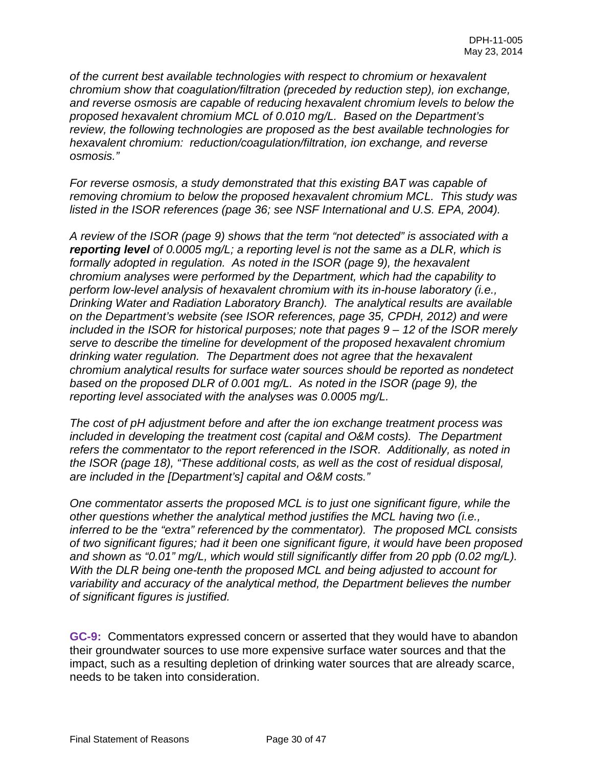*of the current best available technologies with respect to chromium or hexavalent chromium show that coagulation/filtration (preceded by reduction step), ion exchange, and reverse osmosis are capable of reducing hexavalent chromium levels to below the proposed hexavalent chromium MCL of 0.010 mg/L. Based on the Department's review, the following technologies are proposed as the best available technologies for hexavalent chromium: reduction/coagulation/filtration, ion exchange, and reverse osmosis."*

*For reverse osmosis, a study demonstrated that this existing BAT was capable of removing chromium to below the proposed hexavalent chromium MCL. This study was listed in the ISOR references (page 36; see NSF International and U.S. EPA, 2004).*

*A review of the ISOR (page 9) shows that the term "not detected" is associated with a reporting level of 0.0005 mg/L; a reporting level is not the same as a DLR, which is formally adopted in regulation. As noted in the ISOR (page 9), the hexavalent chromium analyses were performed by the Department, which had the capability to perform low-level analysis of hexavalent chromium with its in-house laboratory (i.e., Drinking Water and Radiation Laboratory Branch). The analytical results are available on the Department's website (see ISOR references, page 35, CPDH, 2012) and were included in the ISOR for historical purposes; note that pages 9 – 12 of the ISOR merely serve to describe the timeline for development of the proposed hexavalent chromium drinking water regulation. The Department does not agree that the hexavalent chromium analytical results for surface water sources should be reported as nondetect based on the proposed DLR of 0.001 mg/L. As noted in the ISOR (page 9), the reporting level associated with the analyses was 0.0005 mg/L.*

*The cost of pH adjustment before and after the ion exchange treatment process was included in developing the treatment cost (capital and O&M costs). The Department refers the commentator to the report referenced in the ISOR. Additionally, as noted in the ISOR (page 18), "These additional costs, as well as the cost of residual disposal, are included in the [Department's] capital and O&M costs."* 

*One commentator asserts the proposed MCL is to just one significant figure, while the other questions whether the analytical method justifies the MCL having two (i.e., inferred to be the "extra" referenced by the commentator). The proposed MCL consists of two significant figures; had it been one significant figure, it would have been proposed and shown as "0.01" mg/L, which would still significantly differ from 20 ppb (0.02 mg/L). With the DLR being one-tenth the proposed MCL and being adjusted to account for variability and accuracy of the analytical method, the Department believes the number of significant figures is justified.* 

**GC-9:** Commentators expressed concern or asserted that they would have to abandon their groundwater sources to use more expensive surface water sources and that the impact, such as a resulting depletion of drinking water sources that are already scarce, needs to be taken into consideration.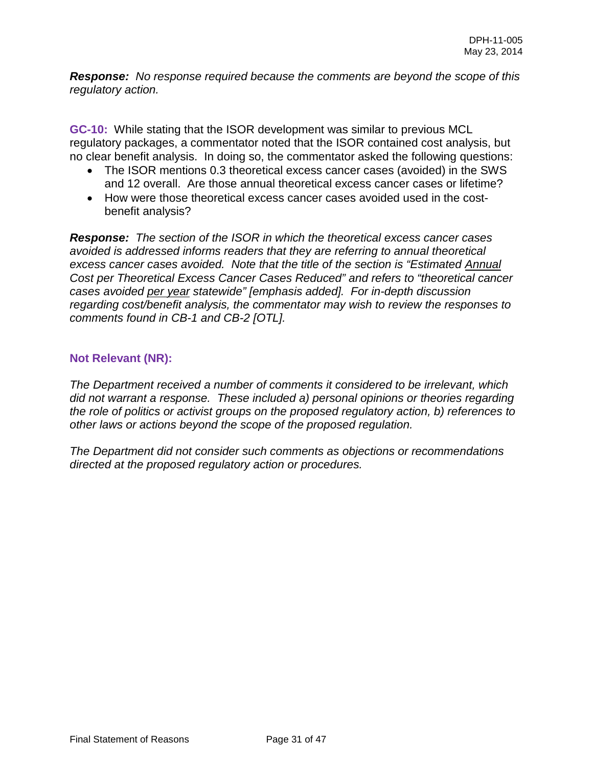*Response: No response required because the comments are beyond the scope of this regulatory action.* 

**GC-10:** While stating that the ISOR development was similar to previous MCL regulatory packages, a commentator noted that the ISOR contained cost analysis, but no clear benefit analysis. In doing so, the commentator asked the following questions:

- The ISOR mentions 0.3 theoretical excess cancer cases (avoided) in the SWS and 12 overall. Are those annual theoretical excess cancer cases or lifetime?
- How were those theoretical excess cancer cases avoided used in the costbenefit analysis?

*Response: The section of the ISOR in which the theoretical excess cancer cases avoided is addressed informs readers that they are referring to annual theoretical excess cancer cases avoided. Note that the title of the section is "Estimated Annual Cost per Theoretical Excess Cancer Cases Reduced" and refers to "theoretical cancer cases avoided per year statewide" [emphasis added]. For in-depth discussion regarding cost/benefit analysis, the commentator may wish to review the responses to comments found in CB-1 and CB-2 [OTL].* 

## **Not Relevant (NR):**

*The Department received a number of comments it considered to be irrelevant, which did not warrant a response. These included a) personal opinions or theories regarding the role of politics or activist groups on the proposed regulatory action, b) references to other laws or actions beyond the scope of the proposed regulation.* 

*The Department did not consider such comments as objections or recommendations directed at the proposed regulatory action or procedures.*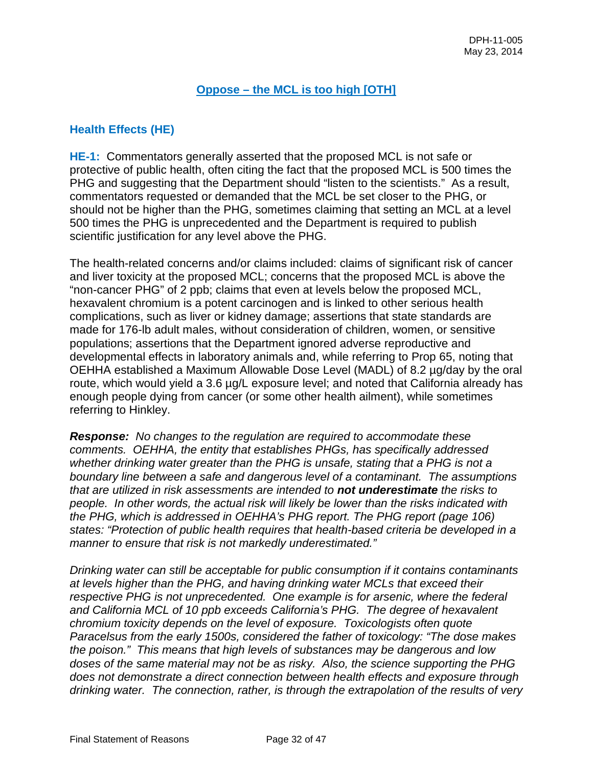## **Oppose – the MCL is too high [OTH]**

## **Health Effects (HE)**

**HE-1:** Commentators generally asserted that the proposed MCL is not safe or protective of public health, often citing the fact that the proposed MCL is 500 times the PHG and suggesting that the Department should "listen to the scientists." As a result, commentators requested or demanded that the MCL be set closer to the PHG, or should not be higher than the PHG, sometimes claiming that setting an MCL at a level 500 times the PHG is unprecedented and the Department is required to publish scientific justification for any level above the PHG.

The health-related concerns and/or claims included: claims of significant risk of cancer and liver toxicity at the proposed MCL; concerns that the proposed MCL is above the "non-cancer PHG" of 2 ppb; claims that even at levels below the proposed MCL, hexavalent chromium is a potent carcinogen and is linked to other serious health complications, such as liver or kidney damage; assertions that state standards are made for 176-lb adult males, without consideration of children, women, or sensitive populations; assertions that the Department ignored adverse reproductive and developmental effects in laboratory animals and, while referring to Prop 65, noting that OEHHA established a Maximum Allowable Dose Level (MADL) of 8.2 µg/day by the oral route, which would yield a 3.6 µg/L exposure level; and noted that California already has enough people dying from cancer (or some other health ailment), while sometimes referring to Hinkley.

*Response: No changes to the regulation are required to accommodate these comments. OEHHA, the entity that establishes PHGs, has specifically addressed*  whether drinking water greater than the PHG is unsafe, stating that a PHG is not a *boundary line between a safe and dangerous level of a contaminant. The assumptions that are utilized in risk assessments are intended to not underestimate the risks to people. In other words, the actual risk will likely be lower than the risks indicated with the PHG, which is addressed in OEHHA's PHG report. The PHG report (page 106) states: "Protection of public health requires that health-based criteria be developed in a manner to ensure that risk is not markedly underestimated."* 

*Drinking water can still be acceptable for public consumption if it contains contaminants at levels higher than the PHG, and having drinking water MCLs that exceed their respective PHG is not unprecedented. One example is for arsenic, where the federal and California MCL of 10 ppb exceeds California's PHG. The degree of hexavalent chromium toxicity depends on the level of exposure. Toxicologists often quote Paracelsus from the early 1500s, considered the father of toxicology: "The dose makes the poison." This means that high levels of substances may be dangerous and low doses of the same material may not be as risky. Also, the science supporting the PHG does not demonstrate a direct connection between health effects and exposure through drinking water. The connection, rather, is through the extrapolation of the results of very*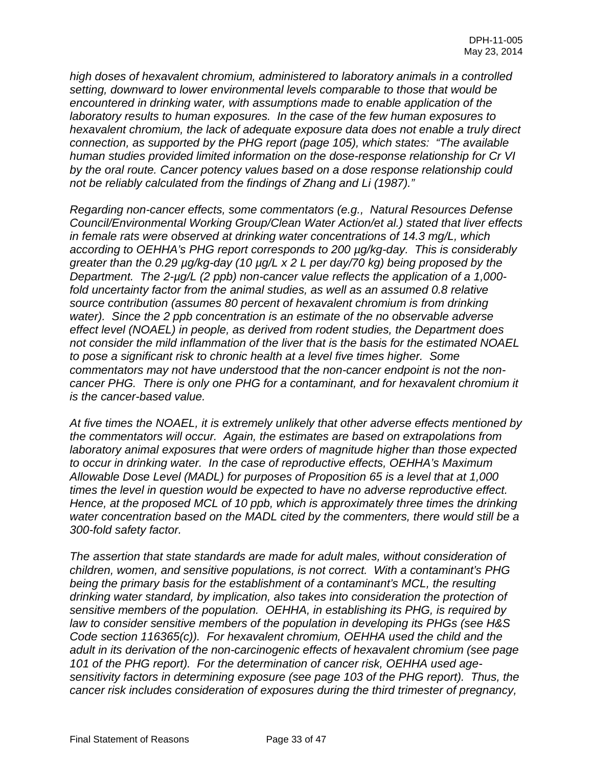*high doses of hexavalent chromium, administered to laboratory animals in a controlled setting, downward to lower environmental levels comparable to those that would be encountered in drinking water, with assumptions made to enable application of the laboratory results to human exposures. In the case of the few human exposures to hexavalent chromium, the lack of adequate exposure data does not enable a truly direct connection, as supported by the PHG report (page 105), which states: "The available human studies provided limited information on the dose-response relationship for Cr VI by the oral route. Cancer potency values based on a dose response relationship could not be reliably calculated from the findings of Zhang and Li (1987)."* 

*Regarding non-cancer effects, some commentators (e.g., Natural Resources Defense Council/Environmental Working Group/Clean Water Action/et al.) stated that liver effects in female rats were observed at drinking water concentrations of 14.3 mg/L, which according to OEHHA's PHG report corresponds to 200 µg/kg-day. This is considerably greater than the 0.29 µg/kg-day (10 µg/L x 2 L per day/70 kg) being proposed by the Department. The 2-µg/L (2 ppb) non-cancer value reflects the application of a 1,000 fold uncertainty factor from the animal studies, as well as an assumed 0.8 relative source contribution (assumes 80 percent of hexavalent chromium is from drinking water). Since the 2 ppb concentration is an estimate of the no observable adverse effect level (NOAEL) in people, as derived from rodent studies, the Department does not consider the mild inflammation of the liver that is the basis for the estimated NOAEL to pose a significant risk to chronic health at a level five times higher. Some commentators may not have understood that the non-cancer endpoint is not the noncancer PHG. There is only one PHG for a contaminant, and for hexavalent chromium it is the cancer-based value.*

*At five times the NOAEL, it is extremely unlikely that other adverse effects mentioned by the commentators will occur. Again, the estimates are based on extrapolations from laboratory animal exposures that were orders of magnitude higher than those expected to occur in drinking water. In the case of reproductive effects, OEHHA's Maximum Allowable Dose Level (MADL) for purposes of Proposition 65 is a level that at 1,000 times the level in question would be expected to have no adverse reproductive effect. Hence, at the proposed MCL of 10 ppb, which is approximately three times the drinking water concentration based on the MADL cited by the commenters, there would still be a 300-fold safety factor.* 

*The assertion that state standards are made for adult males, without consideration of children, women, and sensitive populations, is not correct. With a contaminant's PHG being the primary basis for the establishment of a contaminant's MCL, the resulting drinking water standard, by implication, also takes into consideration the protection of sensitive members of the population. OEHHA, in establishing its PHG, is required by law to consider sensitive members of the population in developing its PHGs (see H&S Code section 116365(c)). For hexavalent chromium, OEHHA used the child and the adult in its derivation of the non-carcinogenic effects of hexavalent chromium (see page 101 of the PHG report). For the determination of cancer risk, OEHHA used agesensitivity factors in determining exposure (see page 103 of the PHG report). Thus, the cancer risk includes consideration of exposures during the third trimester of pregnancy,*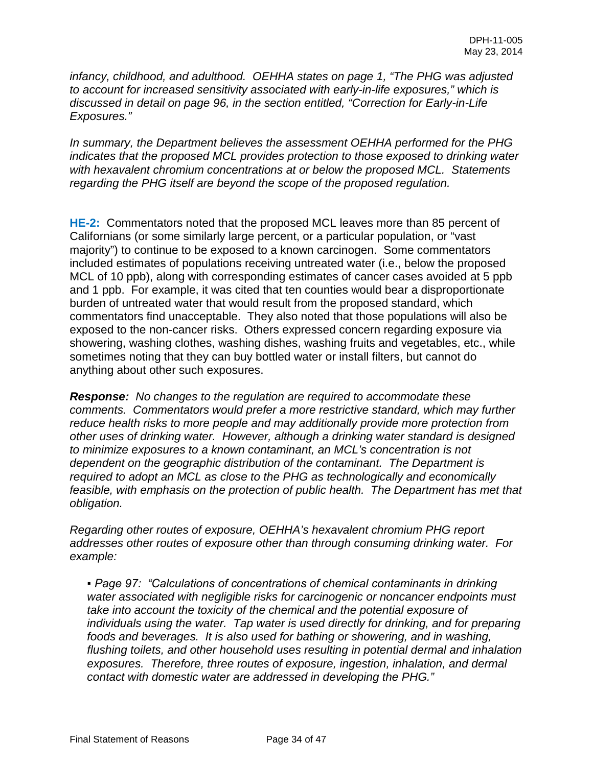*infancy, childhood, and adulthood. OEHHA states on page 1, "The PHG was adjusted to account for increased sensitivity associated with early-in-life exposures," which is discussed in detail on page 96, in the section entitled, "Correction for Early-in-Life Exposures."* 

*In summary, the Department believes the assessment OEHHA performed for the PHG indicates that the proposed MCL provides protection to those exposed to drinking water with hexavalent chromium concentrations at or below the proposed MCL. Statements regarding the PHG itself are beyond the scope of the proposed regulation.*

**HE-2:** Commentators noted that the proposed MCL leaves more than 85 percent of Californians (or some similarly large percent, or a particular population, or "vast majority") to continue to be exposed to a known carcinogen. Some commentators included estimates of populations receiving untreated water (i.e., below the proposed MCL of 10 ppb), along with corresponding estimates of cancer cases avoided at 5 ppb and 1 ppb. For example, it was cited that ten counties would bear a disproportionate burden of untreated water that would result from the proposed standard, which commentators find unacceptable. They also noted that those populations will also be exposed to the non-cancer risks. Others expressed concern regarding exposure via showering, washing clothes, washing dishes, washing fruits and vegetables, etc., while sometimes noting that they can buy bottled water or install filters, but cannot do anything about other such exposures.

*Response: No changes to the regulation are required to accommodate these comments. Commentators would prefer a more restrictive standard, which may further reduce health risks to more people and may additionally provide more protection from other uses of drinking water. However, although a drinking water standard is designed to minimize exposures to a known contaminant, an MCL's concentration is not dependent on the geographic distribution of the contaminant. The Department is required to adopt an MCL as close to the PHG as technologically and economically feasible, with emphasis on the protection of public health. The Department has met that obligation.*

*Regarding other routes of exposure, OEHHA's hexavalent chromium PHG report addresses other routes of exposure other than through consuming drinking water. For example:*

*• Page 97: "Calculations of concentrations of chemical contaminants in drinking water associated with negligible risks for carcinogenic or noncancer endpoints must take into account the toxicity of the chemical and the potential exposure of individuals using the water. Tap water is used directly for drinking, and for preparing foods and beverages. It is also used for bathing or showering, and in washing, flushing toilets, and other household uses resulting in potential dermal and inhalation exposures. Therefore, three routes of exposure, ingestion, inhalation, and dermal contact with domestic water are addressed in developing the PHG."*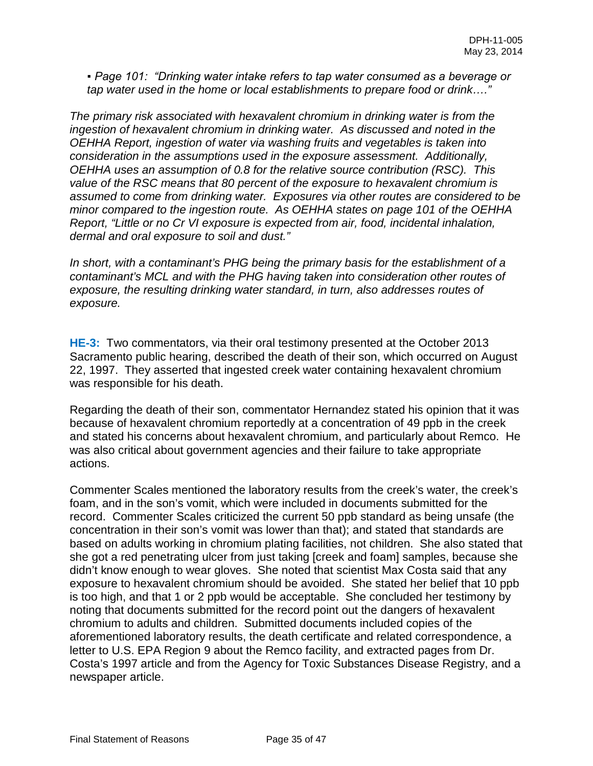*▪ Page 101: "Drinking water intake refers to tap water consumed as a beverage or tap water used in the home or local establishments to prepare food or drink…."*

*The primary risk associated with hexavalent chromium in drinking water is from the ingestion of hexavalent chromium in drinking water. As discussed and noted in the OEHHA Report, ingestion of water via washing fruits and vegetables is taken into consideration in the assumptions used in the exposure assessment. Additionally, OEHHA uses an assumption of 0.8 for the relative source contribution (RSC). This value of the RSC means that 80 percent of the exposure to hexavalent chromium is assumed to come from drinking water. Exposures via other routes are considered to be minor compared to the ingestion route. As OEHHA states on page 101 of the OEHHA Report, "Little or no Cr VI exposure is expected from air, food, incidental inhalation, dermal and oral exposure to soil and dust."* 

*In short, with a contaminant's PHG being the primary basis for the establishment of a contaminant's MCL and with the PHG having taken into consideration other routes of exposure, the resulting drinking water standard, in turn, also addresses routes of exposure.* 

**HE-3:** Two commentators, via their oral testimony presented at the October 2013 Sacramento public hearing, described the death of their son, which occurred on August 22, 1997. They asserted that ingested creek water containing hexavalent chromium was responsible for his death.

Regarding the death of their son, commentator Hernandez stated his opinion that it was because of hexavalent chromium reportedly at a concentration of 49 ppb in the creek and stated his concerns about hexavalent chromium, and particularly about Remco. He was also critical about government agencies and their failure to take appropriate actions.

Commenter Scales mentioned the laboratory results from the creek's water, the creek's foam, and in the son's vomit, which were included in documents submitted for the record. Commenter Scales criticized the current 50 ppb standard as being unsafe (the concentration in their son's vomit was lower than that); and stated that standards are based on adults working in chromium plating facilities, not children. She also stated that she got a red penetrating ulcer from just taking [creek and foam] samples, because she didn't know enough to wear gloves. She noted that scientist Max Costa said that any exposure to hexavalent chromium should be avoided. She stated her belief that 10 ppb is too high, and that 1 or 2 ppb would be acceptable. She concluded her testimony by noting that documents submitted for the record point out the dangers of hexavalent chromium to adults and children. Submitted documents included copies of the aforementioned laboratory results, the death certificate and related correspondence, a letter to U.S. EPA Region 9 about the Remco facility, and extracted pages from Dr. Costa's 1997 article and from the Agency for Toxic Substances Disease Registry, and a newspaper article.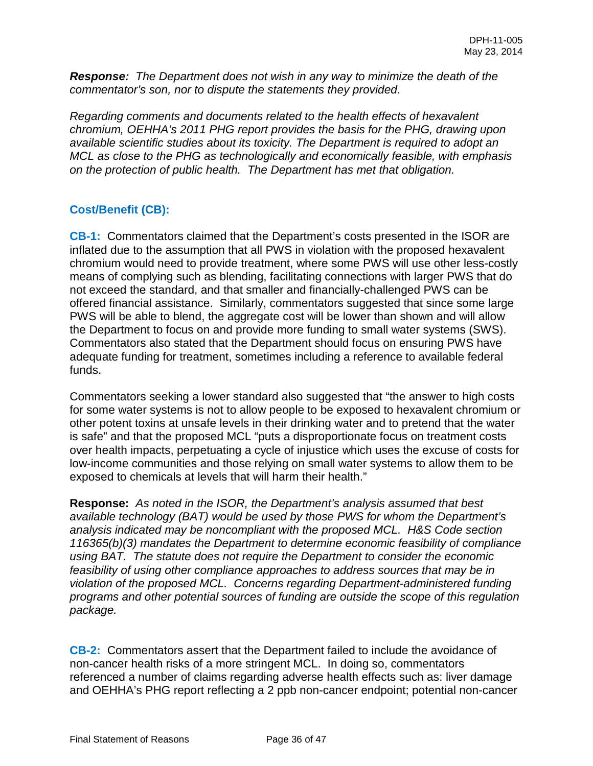*Response: The Department does not wish in any way to minimize the death of the commentator's son, nor to dispute the statements they provided.*

*Regarding comments and documents related to the health effects of hexavalent chromium, OEHHA's 2011 PHG report provides the basis for the PHG, drawing upon available scientific studies about its toxicity. The Department is required to adopt an MCL as close to the PHG as technologically and economically feasible, with emphasis on the protection of public health. The Department has met that obligation.*

## **Cost/Benefit (CB):**

**CB-1:** Commentators claimed that the Department's costs presented in the ISOR are inflated due to the assumption that all PWS in violation with the proposed hexavalent chromium would need to provide treatment, where some PWS will use other less-costly means of complying such as blending, facilitating connections with larger PWS that do not exceed the standard, and that smaller and financially-challenged PWS can be offered financial assistance. Similarly, commentators suggested that since some large PWS will be able to blend, the aggregate cost will be lower than shown and will allow the Department to focus on and provide more funding to small water systems (SWS). Commentators also stated that the Department should focus on ensuring PWS have adequate funding for treatment, sometimes including a reference to available federal funds.

Commentators seeking a lower standard also suggested that "the answer to high costs for some water systems is not to allow people to be exposed to hexavalent chromium or other potent toxins at unsafe levels in their drinking water and to pretend that the water is safe" and that the proposed MCL "puts a disproportionate focus on treatment costs over health impacts, perpetuating a cycle of injustice which uses the excuse of costs for low-income communities and those relying on small water systems to allow them to be exposed to chemicals at levels that will harm their health."

**Response:** *As noted in the ISOR, the Department's analysis assumed that best available technology (BAT) would be used by those PWS for whom the Department's analysis indicated may be noncompliant with the proposed MCL. H&S Code section 116365(b)(3) mandates the Department to determine economic feasibility of compliance using BAT. The statute does not require the Department to consider the economic feasibility of using other compliance approaches to address sources that may be in violation of the proposed MCL. Concerns regarding Department-administered funding programs and other potential sources of funding are outside the scope of this regulation package.* 

**CB-2:** Commentators assert that the Department failed to include the avoidance of non-cancer health risks of a more stringent MCL. In doing so, commentators referenced a number of claims regarding adverse health effects such as: liver damage and OEHHA's PHG report reflecting a 2 ppb non-cancer endpoint; potential non-cancer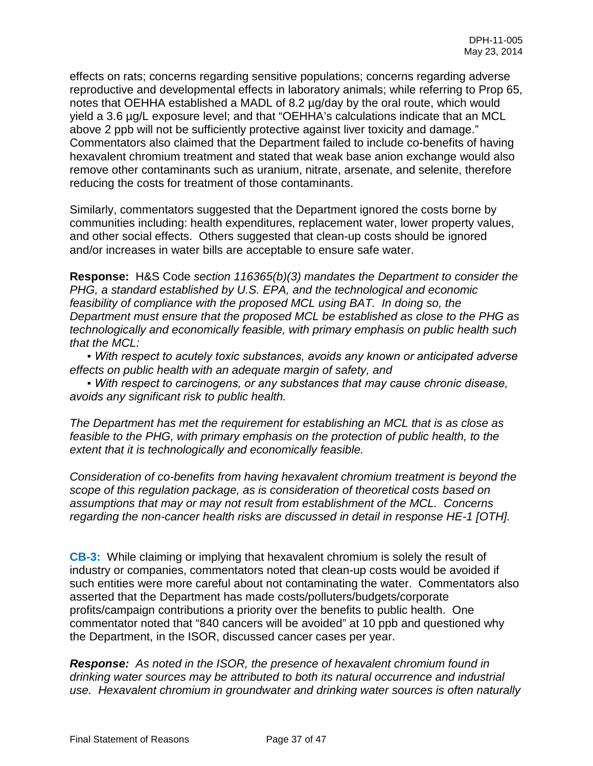effects on rats; concerns regarding sensitive populations; concerns regarding adverse reproductive and developmental effects in laboratory animals; while referring to Prop 65, notes that OEHHA established a MADL of 8.2 µg/day by the oral route, which would yield a 3.6 µg/L exposure level; and that "OEHHA's calculations indicate that an MCL above 2 ppb will not be sufficiently protective against liver toxicity and damage." Commentators also claimed that the Department failed to include co-benefits of having hexavalent chromium treatment and stated that weak base anion exchange would also remove other contaminants such as uranium, nitrate, arsenate, and selenite, therefore reducing the costs for treatment of those contaminants.

Similarly, commentators suggested that the Department ignored the costs borne by communities including: health expenditures, replacement water, lower property values, and other social effects. Others suggested that clean-up costs should be ignored and/or increases in water bills are acceptable to ensure safe water.

**Response:** H&S Code *section 116365(b)(3) mandates the Department to consider the PHG, a standard established by U.S. EPA, and the technological and economic feasibility of compliance with the proposed MCL using BAT. In doing so, the Department must ensure that the proposed MCL be established as close to the PHG as technologically and economically feasible, with primary emphasis on public health such that the MCL:*

*• With respect to acutely toxic substances, avoids any known or anticipated adverse effects on public health with an adequate margin of safety, and*

*▪ With respect to carcinogens, or any substances that may cause chronic disease, avoids any significant risk to public health.* 

*The Department has met the requirement for establishing an MCL that is as close as feasible to the PHG, with primary emphasis on the protection of public health, to the extent that it is technologically and economically feasible.*

*Consideration of co-benefits from having hexavalent chromium treatment is beyond the scope of this regulation package, as is consideration of theoretical costs based on assumptions that may or may not result from establishment of the MCL. Concerns regarding the non-cancer health risks are discussed in detail in response HE-1 [OTH].*

**CB-3:** While claiming or implying that hexavalent chromium is solely the result of industry or companies, commentators noted that clean-up costs would be avoided if such entities were more careful about not contaminating the water. Commentators also asserted that the Department has made costs/polluters/budgets/corporate profits/campaign contributions a priority over the benefits to public health. One commentator noted that "840 cancers will be avoided" at 10 ppb and questioned why the Department, in the ISOR, discussed cancer cases per year.

*Response: As noted in the ISOR, the presence of hexavalent chromium found in drinking water sources may be attributed to both its natural occurrence and industrial use. Hexavalent chromium in groundwater and drinking water sources is often naturally*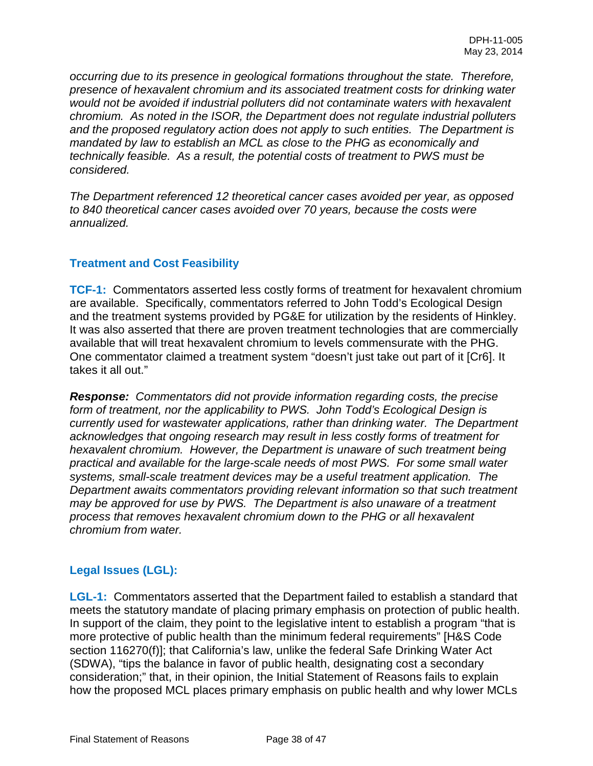*occurring due to its presence in geological formations throughout the state. Therefore, presence of hexavalent chromium and its associated treatment costs for drinking water would not be avoided if industrial polluters did not contaminate waters with hexavalent chromium. As noted in the ISOR, the Department does not regulate industrial polluters and the proposed regulatory action does not apply to such entities. The Department is mandated by law to establish an MCL as close to the PHG as economically and technically feasible. As a result, the potential costs of treatment to PWS must be considered.*

*The Department referenced 12 theoretical cancer cases avoided per year, as opposed to 840 theoretical cancer cases avoided over 70 years, because the costs were annualized.*

## **Treatment and Cost Feasibility**

**TCF-1:** Commentators asserted less costly forms of treatment for hexavalent chromium are available. Specifically, commentators referred to John Todd's Ecological Design and the treatment systems provided by PG&E for utilization by the residents of Hinkley. It was also asserted that there are proven treatment technologies that are commercially available that will treat hexavalent chromium to levels commensurate with the PHG. One commentator claimed a treatment system "doesn't just take out part of it [Cr6]. It takes it all out."

*Response: Commentators did not provide information regarding costs, the precise form of treatment, nor the applicability to PWS. John Todd's Ecological Design is currently used for wastewater applications, rather than drinking water. The Department acknowledges that ongoing research may result in less costly forms of treatment for hexavalent chromium. However, the Department is unaware of such treatment being practical and available for the large-scale needs of most PWS. For some small water systems, small-scale treatment devices may be a useful treatment application. The Department awaits commentators providing relevant information so that such treatment may be approved for use by PWS. The Department is also unaware of a treatment process that removes hexavalent chromium down to the PHG or all hexavalent chromium from water.* 

## **Legal Issues (LGL):**

**LGL-1:** Commentators asserted that the Department failed to establish a standard that meets the statutory mandate of placing primary emphasis on protection of public health. In support of the claim, they point to the legislative intent to establish a program "that is more protective of public health than the minimum federal requirements" [H&S Code section 116270(f)]; that California's law, unlike the federal Safe Drinking Water Act (SDWA), "tips the balance in favor of public health, designating cost a secondary consideration;" that, in their opinion, the Initial Statement of Reasons fails to explain how the proposed MCL places primary emphasis on public health and why lower MCLs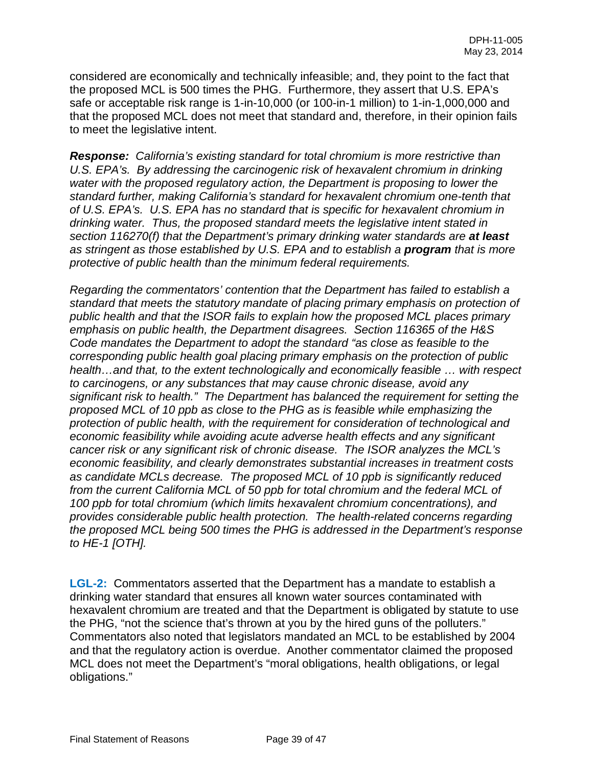considered are economically and technically infeasible; and, they point to the fact that the proposed MCL is 500 times the PHG. Furthermore, they assert that U.S. EPA's safe or acceptable risk range is 1-in-10,000 (or 100-in-1 million) to 1-in-1,000,000 and that the proposed MCL does not meet that standard and, therefore, in their opinion fails to meet the legislative intent.

*Response: California's existing standard for total chromium is more restrictive than U.S. EPA's. By addressing the carcinogenic risk of hexavalent chromium in drinking water with the proposed regulatory action, the Department is proposing to lower the standard further, making California's standard for hexavalent chromium one-tenth that of U.S. EPA's. U.S. EPA has no standard that is specific for hexavalent chromium in drinking water. Thus, the proposed standard meets the legislative intent stated in section 116270(f) that the Department's primary drinking water standards are at least as stringent as those established by U.S. EPA and to establish a program that is more protective of public health than the minimum federal requirements.* 

*Regarding the commentators' contention that the Department has failed to establish a standard that meets the statutory mandate of placing primary emphasis on protection of public health and that the ISOR fails to explain how the proposed MCL places primary emphasis on public health, the Department disagrees. Section 116365 of the H&S Code mandates the Department to adopt the standard "as close as feasible to the corresponding public health goal placing primary emphasis on the protection of public health…and that, to the extent technologically and economically feasible … with respect to carcinogens, or any substances that may cause chronic disease, avoid any significant risk to health." The Department has balanced the requirement for setting the proposed MCL of 10 ppb as close to the PHG as is feasible while emphasizing the protection of public health, with the requirement for consideration of technological and economic feasibility while avoiding acute adverse health effects and any significant cancer risk or any significant risk of chronic disease. The ISOR analyzes the MCL's economic feasibility, and clearly demonstrates substantial increases in treatment costs as candidate MCLs decrease. The proposed MCL of 10 ppb is significantly reduced from the current California MCL of 50 ppb for total chromium and the federal MCL of 100 ppb for total chromium (which limits hexavalent chromium concentrations), and provides considerable public health protection. The health-related concerns regarding the proposed MCL being 500 times the PHG is addressed in the Department's response to HE-1 [OTH].*

**LGL-2:** Commentators asserted that the Department has a mandate to establish a drinking water standard that ensures all known water sources contaminated with hexavalent chromium are treated and that the Department is obligated by statute to use the PHG, "not the science that's thrown at you by the hired guns of the polluters." Commentators also noted that legislators mandated an MCL to be established by 2004 and that the regulatory action is overdue. Another commentator claimed the proposed MCL does not meet the Department's "moral obligations, health obligations, or legal obligations."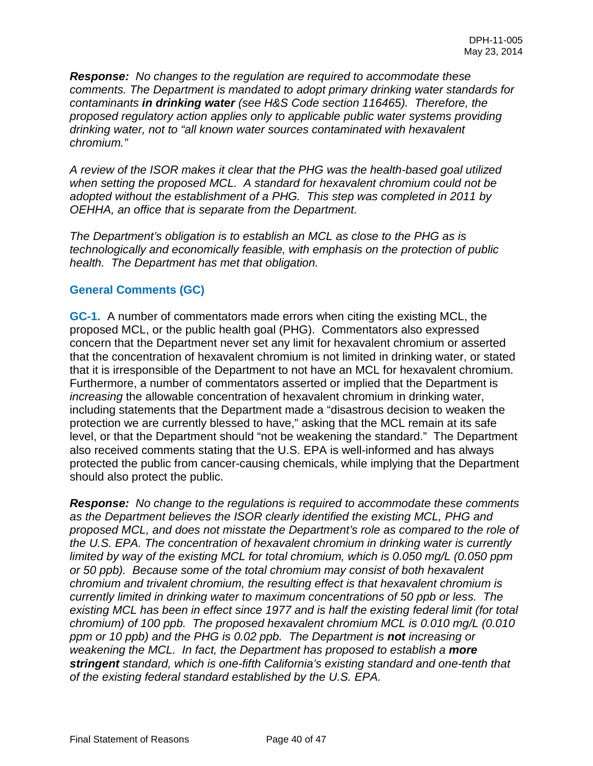*Response: No changes to the regulation are required to accommodate these comments. The Department is mandated to adopt primary drinking water standards for contaminants in drinking water (see H&S Code section 116465). Therefore, the proposed regulatory action applies only to applicable public water systems providing drinking water, not to "all known water sources contaminated with hexavalent chromium."* 

*A review of the ISOR makes it clear that the PHG was the health-based goal utilized when setting the proposed MCL. A standard for hexavalent chromium could not be adopted without the establishment of a PHG. This step was completed in 2011 by OEHHA, an office that is separate from the Department.* 

*The Department's obligation is to establish an MCL as close to the PHG as is technologically and economically feasible, with emphasis on the protection of public health. The Department has met that obligation.*

### **General Comments (GC)**

**GC-1.** A number of commentators made errors when citing the existing MCL, the proposed MCL, or the public health goal (PHG). Commentators also expressed concern that the Department never set any limit for hexavalent chromium or asserted that the concentration of hexavalent chromium is not limited in drinking water, or stated that it is irresponsible of the Department to not have an MCL for hexavalent chromium. Furthermore, a number of commentators asserted or implied that the Department is *increasing* the allowable concentration of hexavalent chromium in drinking water, including statements that the Department made a "disastrous decision to weaken the protection we are currently blessed to have," asking that the MCL remain at its safe level, or that the Department should "not be weakening the standard." The Department also received comments stating that the U.S. EPA is well-informed and has always protected the public from cancer-causing chemicals, while implying that the Department should also protect the public.

*Response: No change to the regulations is required to accommodate these comments as the Department believes the ISOR clearly identified the existing MCL, PHG and proposed MCL, and does not misstate the Department's role as compared to the role of the U.S. EPA. The concentration of hexavalent chromium in drinking water is currently limited by way of the existing MCL for total chromium, which is 0.050 mg/L (0.050 ppm or 50 ppb). Because some of the total chromium may consist of both hexavalent chromium and trivalent chromium, the resulting effect is that hexavalent chromium is currently limited in drinking water to maximum concentrations of 50 ppb or less. The existing MCL has been in effect since 1977 and is half the existing federal limit (for total chromium) of 100 ppb. The proposed hexavalent chromium MCL is 0.010 mg/L (0.010 ppm or 10 ppb) and the PHG is 0.02 ppb. The Department is not increasing or weakening the MCL. In fact, the Department has proposed to establish a more stringent standard, which is one-fifth California's existing standard and one-tenth that of the existing federal standard established by the U.S. EPA.*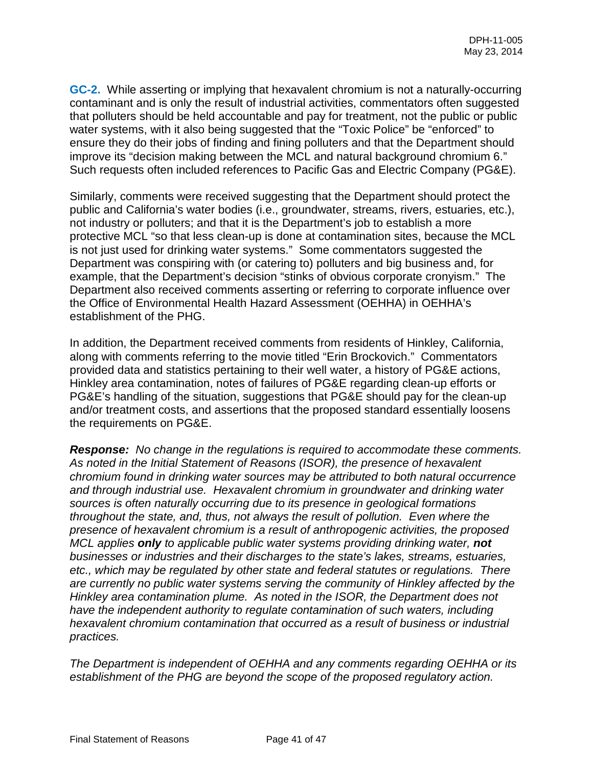**GC-2.** While asserting or implying that hexavalent chromium is not a naturally-occurring contaminant and is only the result of industrial activities, commentators often suggested that polluters should be held accountable and pay for treatment, not the public or public water systems, with it also being suggested that the "Toxic Police" be "enforced" to ensure they do their jobs of finding and fining polluters and that the Department should improve its "decision making between the MCL and natural background chromium 6." Such requests often included references to Pacific Gas and Electric Company (PG&E).

Similarly, comments were received suggesting that the Department should protect the public and California's water bodies (i.e., groundwater, streams, rivers, estuaries, etc.), not industry or polluters; and that it is the Department's job to establish a more protective MCL "so that less clean-up is done at contamination sites, because the MCL is not just used for drinking water systems." Some commentators suggested the Department was conspiring with (or catering to) polluters and big business and, for example, that the Department's decision "stinks of obvious corporate cronyism." The Department also received comments asserting or referring to corporate influence over the Office of Environmental Health Hazard Assessment (OEHHA) in OEHHA's establishment of the PHG.

In addition, the Department received comments from residents of Hinkley, California, along with comments referring to the movie titled "Erin Brockovich." Commentators provided data and statistics pertaining to their well water, a history of PG&E actions, Hinkley area contamination, notes of failures of PG&E regarding clean-up efforts or PG&E's handling of the situation, suggestions that PG&E should pay for the clean-up and/or treatment costs, and assertions that the proposed standard essentially loosens the requirements on PG&E.

*Response: No change in the regulations is required to accommodate these comments. As noted in the Initial Statement of Reasons (ISOR), the presence of hexavalent chromium found in drinking water sources may be attributed to both natural occurrence and through industrial use. Hexavalent chromium in groundwater and drinking water sources is often naturally occurring due to its presence in geological formations throughout the state, and, thus, not always the result of pollution. Even where the presence of hexavalent chromium is a result of anthropogenic activities, the proposed MCL applies only to applicable public water systems providing drinking water, not businesses or industries and their discharges to the state's lakes, streams, estuaries, etc., which may be regulated by other state and federal statutes or regulations. There are currently no public water systems serving the community of Hinkley affected by the Hinkley area contamination plume. As noted in the ISOR, the Department does not have the independent authority to regulate contamination of such waters, including hexavalent chromium contamination that occurred as a result of business or industrial practices.* 

*The Department is independent of OEHHA and any comments regarding OEHHA or its establishment of the PHG are beyond the scope of the proposed regulatory action.*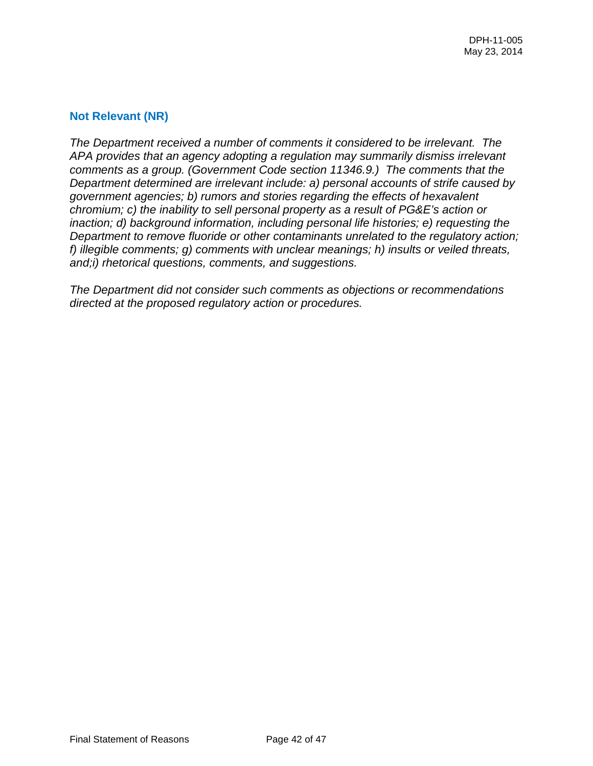### **Not Relevant (NR)**

*The Department received a number of comments it considered to be irrelevant. The APA provides that an agency adopting a regulation may summarily dismiss irrelevant comments as a group. (Government Code section 11346.9.) The comments that the Department determined are irrelevant include: a) personal accounts of strife caused by government agencies; b) rumors and stories regarding the effects of hexavalent chromium; c) the inability to sell personal property as a result of PG&E's action or inaction; d) background information, including personal life histories; e) requesting the Department to remove fluoride or other contaminants unrelated to the regulatory action; f) illegible comments; g) comments with unclear meanings; h) insults or veiled threats, and;i) rhetorical questions, comments, and suggestions.*

*The Department did not consider such comments as objections or recommendations directed at the proposed regulatory action or procedures.*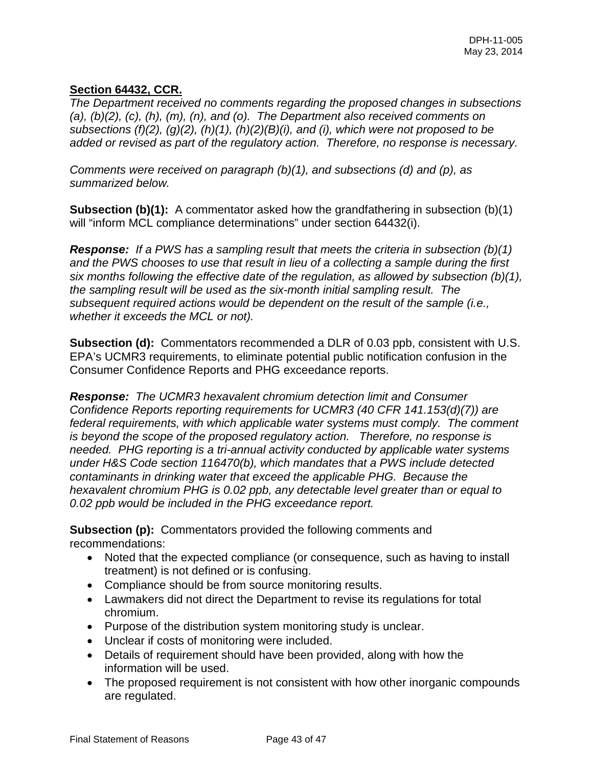## **Section 64432, CCR.**

*The Department received no comments regarding the proposed changes in subsections (a), (b)(2), (c), (h), (m), (n), and (o). The Department also received comments on subsections (f)(2), (g)(2), (h)(1), (h)(2)(B)(i), and (i), which were not proposed to be added or revised as part of the regulatory action. Therefore, no response is necessary.*

*Comments were received on paragraph (b)(1), and subsections (d) and (p), as summarized below.* 

**Subsection (b)(1):** A commentator asked how the grandfathering in subsection (b)(1) will "inform MCL compliance determinations" under section 64432(i).

*Response: If a PWS has a sampling result that meets the criteria in subsection (b)(1) and the PWS chooses to use that result in lieu of a collecting a sample during the first six months following the effective date of the regulation, as allowed by subsection (b)(1), the sampling result will be used as the six-month initial sampling result. The subsequent required actions would be dependent on the result of the sample (i.e., whether it exceeds the MCL or not).* 

**Subsection (d):** Commentators recommended a DLR of 0.03 ppb, consistent with U.S. EPA's UCMR3 requirements, to eliminate potential public notification confusion in the Consumer Confidence Reports and PHG exceedance reports.

*Response: The UCMR3 hexavalent chromium detection limit and Consumer Confidence Reports reporting requirements for UCMR3 (40 CFR 141.153(d)(7)) are federal requirements, with which applicable water systems must comply. The comment is beyond the scope of the proposed regulatory action. Therefore, no response is needed. PHG reporting is a tri-annual activity conducted by applicable water systems under H&S Code section 116470(b), which mandates that a PWS include detected contaminants in drinking water that exceed the applicable PHG. Because the hexavalent chromium PHG is 0.02 ppb, any detectable level greater than or equal to 0.02 ppb would be included in the PHG exceedance report.* 

**Subsection (p):** Commentators provided the following comments and recommendations:

- Noted that the expected compliance (or consequence, such as having to install treatment) is not defined or is confusing.
- Compliance should be from source monitoring results.
- Lawmakers did not direct the Department to revise its regulations for total chromium.
- Purpose of the distribution system monitoring study is unclear.
- Unclear if costs of monitoring were included.
- Details of requirement should have been provided, along with how the information will be used.
- The proposed requirement is not consistent with how other inorganic compounds are regulated.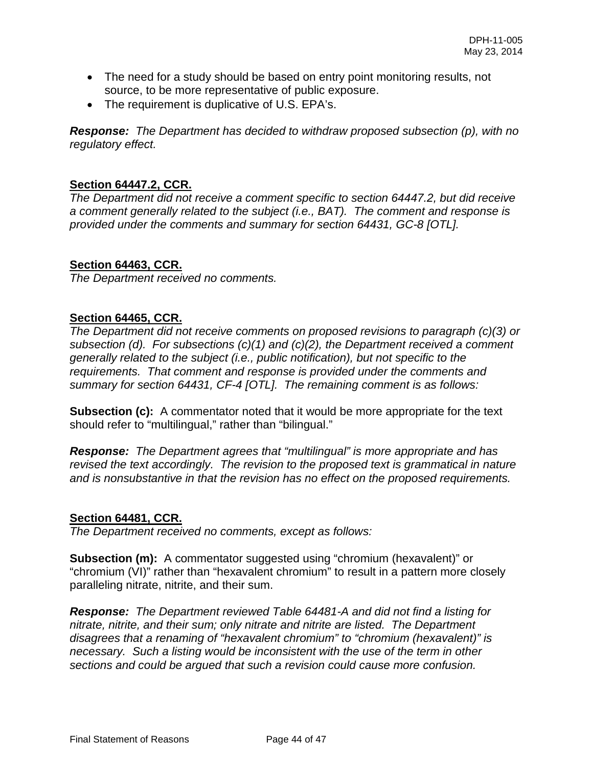- The need for a study should be based on entry point monitoring results, not source, to be more representative of public exposure.
- The requirement is duplicative of U.S. EPA's.

*Response: The Department has decided to withdraw proposed subsection (p), with no regulatory effect.* 

## **Section 64447.2, CCR.**

*The Department did not receive a comment specific to section 64447.2, but did receive a comment generally related to the subject (i.e., BAT). The comment and response is provided under the comments and summary for section 64431, GC-8 [OTL].* 

## **Section 64463, CCR.**

*The Department received no comments.* 

## **Section 64465, CCR.**

*The Department did not receive comments on proposed revisions to paragraph (c)(3) or subsection (d). For subsections (c)(1) and (c)(2), the Department received a comment generally related to the subject (i.e., public notification), but not specific to the requirements. That comment and response is provided under the comments and summary for section 64431, CF-4 [OTL]. The remaining comment is as follows:*

**Subsection (c):** A commentator noted that it would be more appropriate for the text should refer to "multilingual," rather than "bilingual."

*Response: The Department agrees that "multilingual" is more appropriate and has revised the text accordingly. The revision to the proposed text is grammatical in nature and is nonsubstantive in that the revision has no effect on the proposed requirements.*

## **Section 64481, CCR.**

*The Department received no comments, except as follows:* 

**Subsection (m):** A commentator suggested using "chromium (hexavalent)" or "chromium (VI)" rather than "hexavalent chromium" to result in a pattern more closely paralleling nitrate, nitrite, and their sum.

*Response: The Department reviewed Table 64481-A and did not find a listing for nitrate, nitrite, and their sum; only nitrate and nitrite are listed. The Department disagrees that a renaming of "hexavalent chromium" to "chromium (hexavalent)" is necessary. Such a listing would be inconsistent with the use of the term in other sections and could be argued that such a revision could cause more confusion.*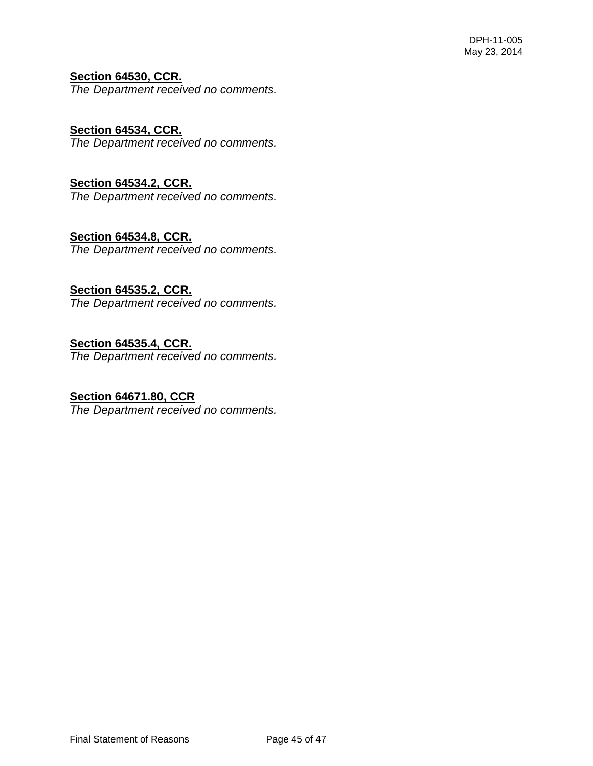# **Section 64530, CCR.**

*The Department received no comments.* 

## **Section 64534, CCR.**

*The Department received no comments.* 

## **Section 64534.2, CCR.**

*The Department received no comments.* 

## **Section 64534.8, CCR.**

*The Department received no comments.* 

# **Section 64535.2, CCR.**

*The Department received no comments.* 

## **Section 64535.4, CCR.**

*The Department received no comments.* 

# **Section 64671.80, CCR**

*The Department received no comments.*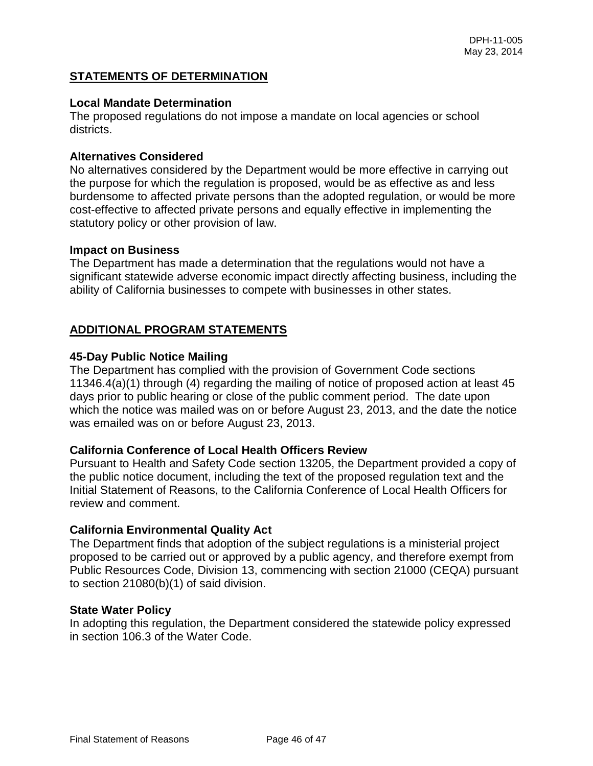## **STATEMENTS OF DETERMINATION**

#### **Local Mandate Determination**

The proposed regulations do not impose a mandate on local agencies or school districts.

#### **Alternatives Considered**

No alternatives considered by the Department would be more effective in carrying out the purpose for which the regulation is proposed, would be as effective as and less burdensome to affected private persons than the adopted regulation, or would be more cost-effective to affected private persons and equally effective in implementing the statutory policy or other provision of law.

#### **Impact on Business**

The Department has made a determination that the regulations would not have a significant statewide adverse economic impact directly affecting business, including the ability of California businesses to compete with businesses in other states.

### **ADDITIONAL PROGRAM STATEMENTS**

#### **45-Day Public Notice Mailing**

The Department has complied with the provision of Government Code sections 11346.4(a)(1) through (4) regarding the mailing of notice of proposed action at least 45 days prior to public hearing or close of the public comment period. The date upon which the notice was mailed was on or before August 23, 2013, and the date the notice was emailed was on or before August 23, 2013.

#### **California Conference of Local Health Officers Review**

Pursuant to Health and Safety Code section 13205, the Department provided a copy of the public notice document, including the text of the proposed regulation text and the Initial Statement of Reasons, to the California Conference of Local Health Officers for review and comment.

#### **California Environmental Quality Act**

The Department finds that adoption of the subject regulations is a ministerial project proposed to be carried out or approved by a public agency, and therefore exempt from Public Resources Code, Division 13, commencing with section 21000 (CEQA) pursuant to section 21080(b)(1) of said division.

#### **State Water Policy**

In adopting this regulation, the Department considered the statewide policy expressed in section 106.3 of the Water Code.